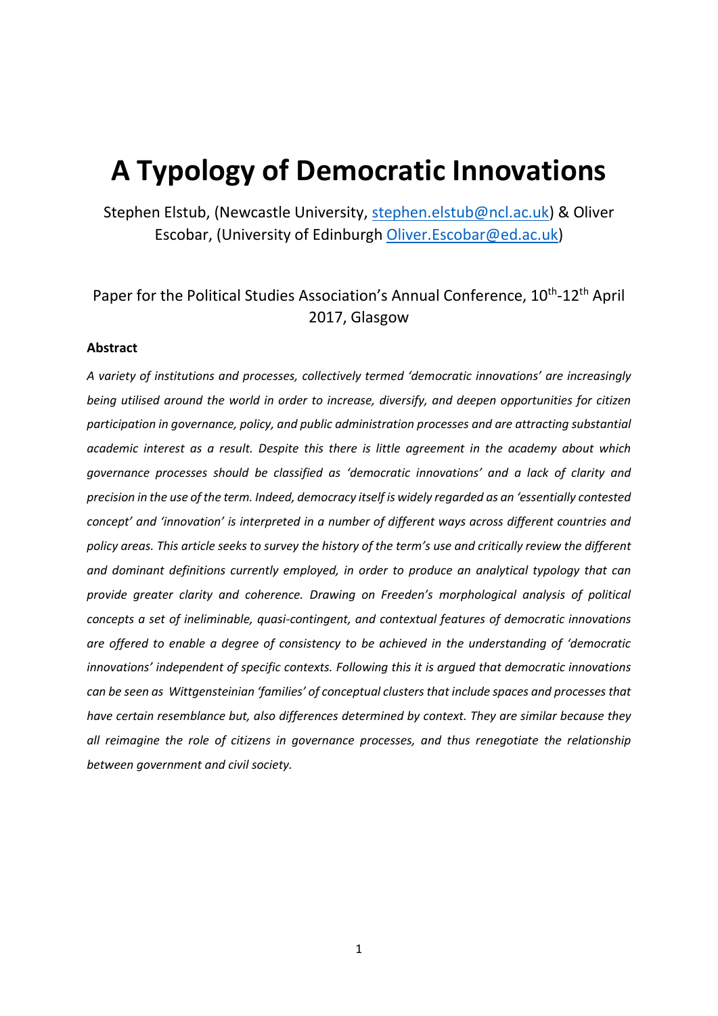# **A Typology of Democratic Innovations**

Stephen Elstub, (Newcastle University, [stephen.elstub@ncl.ac.uk\)](mailto:stephen.elstub@ncl.ac.uk) & Oliver Escobar, (University of Edinburgh [Oliver.Escobar@ed.ac.uk\)](mailto:Oliver.Escobar@ed.ac.uk)

## Paper for the Political Studies Association's Annual Conference, 10<sup>th</sup>-12<sup>th</sup> April 2017, Glasgow

## **Abstract**

*A variety of institutions and processes, collectively termed 'democratic innovations' are increasingly being utilised around the world in order to increase, diversify, and deepen opportunities for citizen participation in governance, policy, and public administration processes and are attracting substantial academic interest as a result. Despite this there is little agreement in the academy about which governance processes should be classified as 'democratic innovations' and a lack of clarity and precision in the use of the term. Indeed, democracy itself is widely regarded as an 'essentially contested concept' and 'innovation' is interpreted in a number of different ways across different countries and policy areas. This article seeks to survey the history of the term's use and critically review the different and dominant definitions currently employed, in order to produce an analytical typology that can provide greater clarity and coherence. Drawing on Freeden's morphological analysis of political concepts a set of ineliminable, quasi-contingent, and contextual features of democratic innovations are offered to enable a degree of consistency to be achieved in the understanding of 'democratic innovations' independent of specific contexts. Following this it is argued that democratic innovations can be seen as Wittgensteinian 'families' of conceptual clusters that include spaces and processes that have certain resemblance but, also differences determined by context. They are similar because they all reimagine the role of citizens in governance processes, and thus renegotiate the relationship between government and civil society.*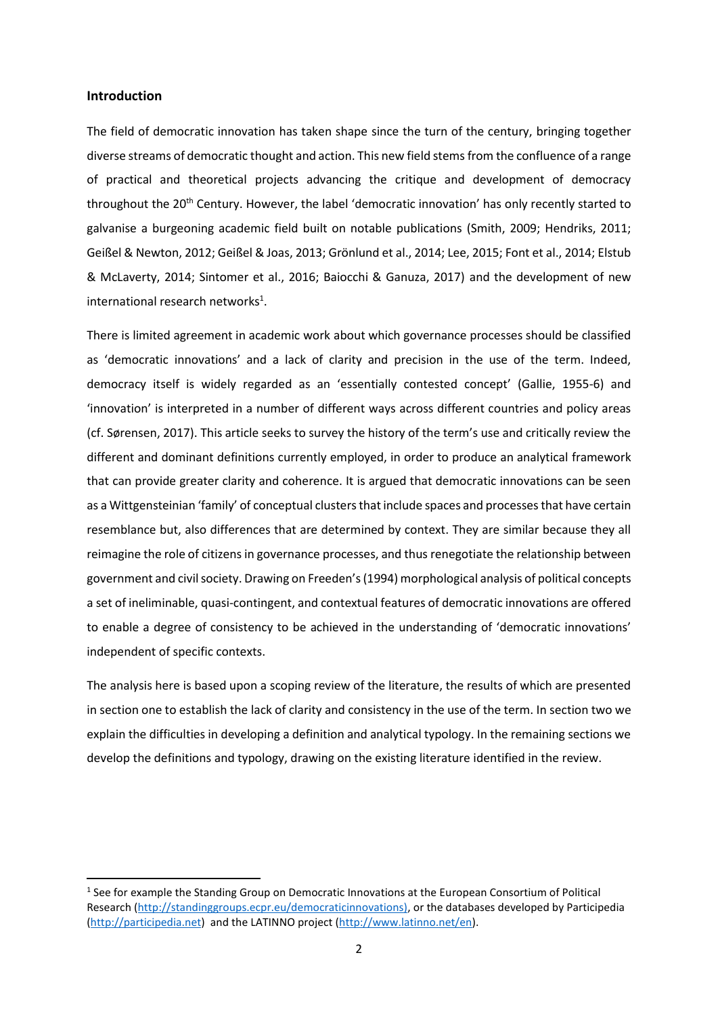## **Introduction**

**.** 

The field of democratic innovation has taken shape since the turn of the century, bringing together diverse streams of democratic thought and action. This new field stems from the confluence of a range of practical and theoretical projects advancing the critique and development of democracy throughout the 20<sup>th</sup> Century. However, the label 'democratic innovation' has only recently started to galvanise a burgeoning academic field built on notable publications (Smith, 2009; Hendriks, 2011; Geißel & Newton, 2012; Geißel & Joas, 2013; Grönlund et al., 2014; Lee, 2015; Font et al., 2014; Elstub & McLaverty, 2014; Sintomer et al., 2016; Baiocchi & Ganuza, 2017) and the development of new international research networks<sup>1</sup>.

There is limited agreement in academic work about which governance processes should be classified as 'democratic innovations' and a lack of clarity and precision in the use of the term. Indeed, democracy itself is widely regarded as an 'essentially contested concept' (Gallie, 1955-6) and 'innovation' is interpreted in a number of different ways across different countries and policy areas (cf. Sørensen, 2017). This article seeks to survey the history of the term's use and critically review the different and dominant definitions currently employed, in order to produce an analytical framework that can provide greater clarity and coherence. It is argued that democratic innovations can be seen as a Wittgensteinian 'family' of conceptual clusters that include spaces and processes that have certain resemblance but, also differences that are determined by context. They are similar because they all reimagine the role of citizens in governance processes, and thus renegotiate the relationship between government and civil society. Drawing on Freeden's(1994) morphological analysis of political concepts a set of ineliminable, quasi-contingent, and contextual features of democratic innovations are offered to enable a degree of consistency to be achieved in the understanding of 'democratic innovations' independent of specific contexts.

The analysis here is based upon a scoping review of the literature, the results of which are presented in section one to establish the lack of clarity and consistency in the use of the term. In section two we explain the difficulties in developing a definition and analytical typology. In the remaining sections we develop the definitions and typology, drawing on the existing literature identified in the review.

<sup>&</sup>lt;sup>1</sup> See for example the Standing Group on Democratic Innovations at the European Consortium of Political Research [\(http://standinggroups.ecpr.eu/democraticinnovations\),](http://standinggroups.ecpr.eu/democraticinnovations)) or the databases developed by Participedia [\(http://participedia.net\)](http://participedia.net/) and the LATINNO project [\(http://www.latinno.net/en\)](http://www.latinno.net/en).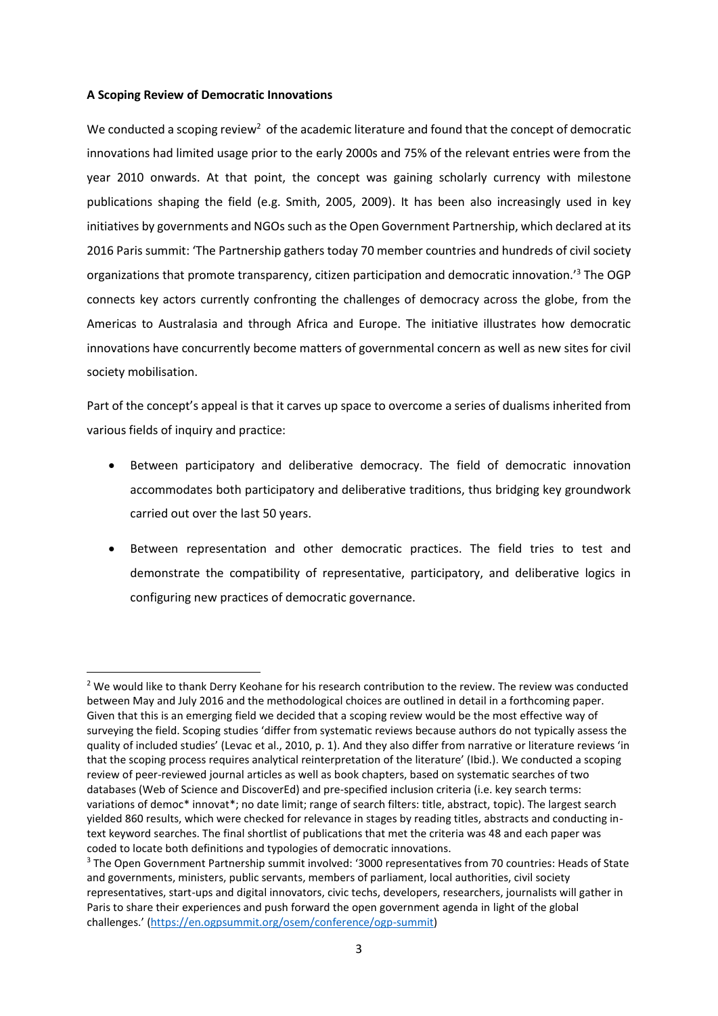## **A Scoping Review of Democratic Innovations**

1

We conducted a scoping review<sup>2</sup> of the academic literature and found that the concept of democratic innovations had limited usage prior to the early 2000s and 75% of the relevant entries were from the year 2010 onwards. At that point, the concept was gaining scholarly currency with milestone publications shaping the field (e.g. Smith, 2005, 2009). It has been also increasingly used in key initiatives by governments and NGOs such as the Open Government Partnership, which declared at its 2016 Paris summit: 'The Partnership gathers today 70 member countries and hundreds of civil society organizations that promote transparency, citizen participation and democratic innovation.'<sup>3</sup> The OGP connects key actors currently confronting the challenges of democracy across the globe, from the Americas to Australasia and through Africa and Europe. The initiative illustrates how democratic innovations have concurrently become matters of governmental concern as well as new sites for civil society mobilisation.

Part of the concept's appeal is that it carves up space to overcome a series of dualisms inherited from various fields of inquiry and practice:

- Between participatory and deliberative democracy. The field of democratic innovation accommodates both participatory and deliberative traditions, thus bridging key groundwork carried out over the last 50 years.
- Between representation and other democratic practices. The field tries to test and demonstrate the compatibility of representative, participatory, and deliberative logics in configuring new practices of democratic governance.

<sup>&</sup>lt;sup>2</sup> We would like to thank Derry Keohane for his research contribution to the review. The review was conducted between May and July 2016 and the methodological choices are outlined in detail in a forthcoming paper. Given that this is an emerging field we decided that a scoping review would be the most effective way of surveying the field. Scoping studies 'differ from systematic reviews because authors do not typically assess the quality of included studies' (Levac et al., 2010, p. 1). And they also differ from narrative or literature reviews 'in that the scoping process requires analytical reinterpretation of the literature' (Ibid.). We conducted a scoping review of peer-reviewed journal articles as well as book chapters, based on systematic searches of two databases (Web of Science and DiscoverEd) and pre-specified inclusion criteria (i.e. key search terms: variations of democ\* innovat\*; no date limit; range of search filters: title, abstract, topic). The largest search yielded 860 results, which were checked for relevance in stages by reading titles, abstracts and conducting intext keyword searches. The final shortlist of publications that met the criteria was 48 and each paper was coded to locate both definitions and typologies of democratic innovations.

<sup>&</sup>lt;sup>3</sup> The Open Government Partnership summit involved: '3000 representatives from 70 countries: Heads of State and governments, ministers, public servants, members of parliament, local authorities, civil society representatives, start-ups and digital innovators, civic techs, developers, researchers, journalists will gather in Paris to share their experiences and push forward the open government agenda in light of the global challenges.' [\(https://en.ogpsummit.org/osem/conference/ogp-summit\)](https://en.ogpsummit.org/osem/conference/ogp-summit)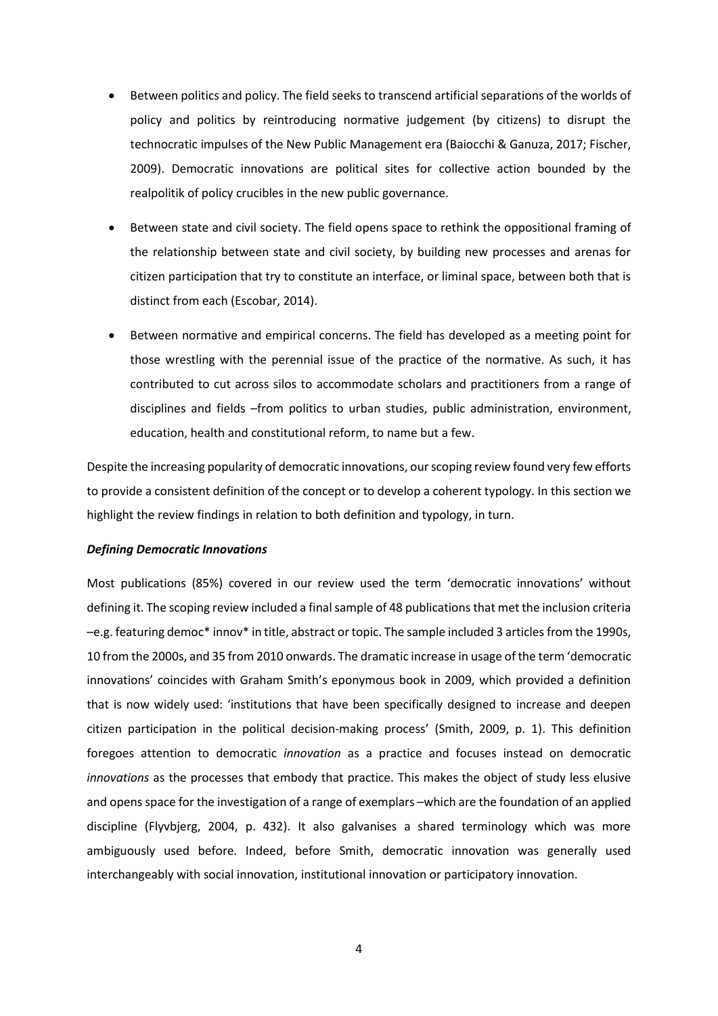- Between politics and policy. The field seeks to transcend artificial separations of the worlds of policy and politics by reintroducing normative judgement (by citizens) to disrupt the technocratic impulses of the New Public Management era (Baiocchi & Ganuza, 2017; Fischer, 2009). Democratic innovations are political sites for collective action bounded by the realpolitik of policy crucibles in the new public governance.
- Between state and civil society. The field opens space to rethink the oppositional framing of the relationship between state and civil society, by building new processes and arenas for citizen participation that try to constitute an interface, or liminal space, between both that is distinct from each (Escobar, 2014).
- Between normative and empirical concerns. The field has developed as a meeting point for those wrestling with the perennial issue of the practice of the normative. As such, it has contributed to cut across silos to accommodate scholars and practitioners from a range of disciplines and fields –from politics to urban studies, public administration, environment, education, health and constitutional reform, to name but a few.

Despite the increasing popularity of democratic innovations, our scoping review found very few efforts to provide a consistent definition of the concept or to develop a coherent typology. In this section we highlight the review findings in relation to both definition and typology, in turn.

## *Defining Democratic Innovations*

Most publications (85%) covered in our review used the term 'democratic innovations' without defining it. The scoping review included a final sample of 48 publications that met the inclusion criteria –e.g. featuring democ\* innov\* in title, abstract or topic. The sample included 3 articles from the 1990s, 10 from the 2000s, and 35 from 2010 onwards. The dramatic increase in usage of the term 'democratic innovations' coincides with Graham Smith's eponymous book in 2009, which provided a definition that is now widely used: 'institutions that have been specifically designed to increase and deepen citizen participation in the political decision-making process' (Smith, 2009, p. 1). This definition foregoes attention to democratic *innovation* as a practice and focuses instead on democratic *innovations* as the processes that embody that practice. This makes the object of study less elusive and opens space for the investigation of a range of exemplars –which are the foundation of an applied discipline (Flyvbjerg, 2004, p. 432). It also galvanises a shared terminology which was more ambiguously used before. Indeed, before Smith, democratic innovation was generally used interchangeably with social innovation, institutional innovation or participatory innovation.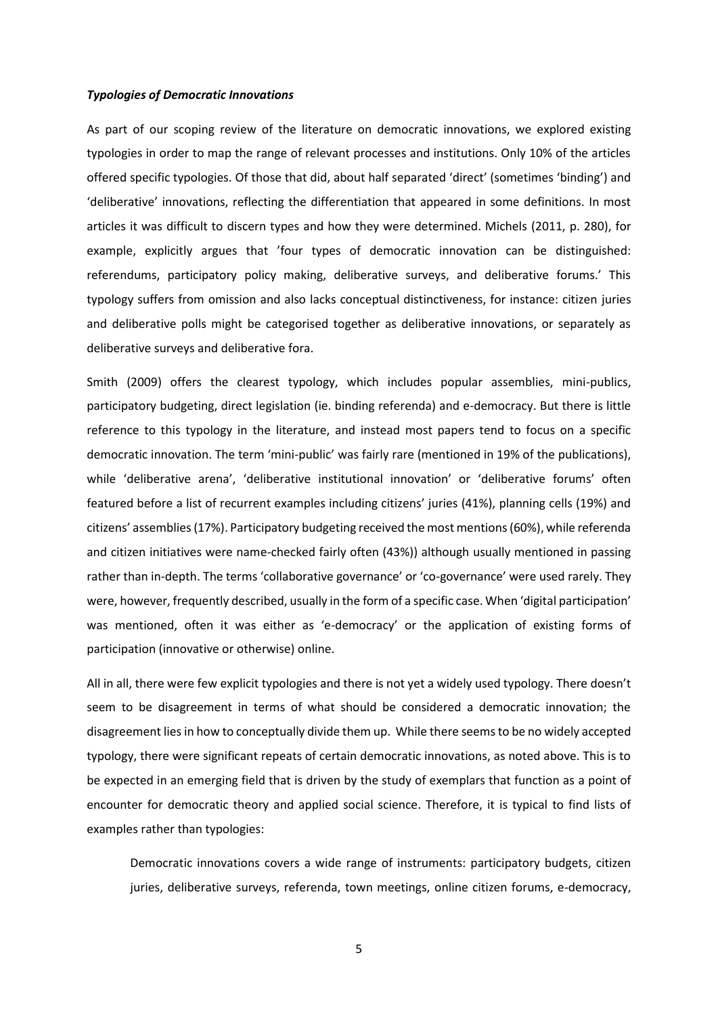#### *Typologies of Democratic Innovations*

As part of our scoping review of the literature on democratic innovations, we explored existing typologies in order to map the range of relevant processes and institutions. Only 10% of the articles offered specific typologies. Of those that did, about half separated 'direct' (sometimes 'binding') and 'deliberative' innovations, reflecting the differentiation that appeared in some definitions. In most articles it was difficult to discern types and how they were determined. Michels (2011, p. 280), for example, explicitly argues that 'four types of democratic innovation can be distinguished: referendums, participatory policy making, deliberative surveys, and deliberative forums.' This typology suffers from omission and also lacks conceptual distinctiveness, for instance: citizen juries and deliberative polls might be categorised together as deliberative innovations, or separately as deliberative surveys and deliberative fora.

Smith (2009) offers the clearest typology, which includes popular assemblies, mini-publics, participatory budgeting, direct legislation (ie. binding referenda) and e-democracy. But there is little reference to this typology in the literature, and instead most papers tend to focus on a specific democratic innovation. The term 'mini-public' was fairly rare (mentioned in 19% of the publications), while 'deliberative arena', 'deliberative institutional innovation' or 'deliberative forums' often featured before a list of recurrent examples including citizens' juries (41%), planning cells (19%) and citizens' assemblies (17%). Participatory budgeting received the most mentions (60%), while referenda and citizen initiatives were name-checked fairly often (43%)) although usually mentioned in passing rather than in-depth. The terms 'collaborative governance' or 'co-governance' were used rarely. They were, however, frequently described, usually in the form of a specific case. When 'digital participation' was mentioned, often it was either as 'e-democracy' or the application of existing forms of participation (innovative or otherwise) online.

All in all, there were few explicit typologies and there is not yet a widely used typology. There doesn't seem to be disagreement in terms of what should be considered a democratic innovation; the disagreement lies in how to conceptually divide them up. While there seems to be no widely accepted typology, there were significant repeats of certain democratic innovations, as noted above. This is to be expected in an emerging field that is driven by the study of exemplars that function as a point of encounter for democratic theory and applied social science. Therefore, it is typical to find lists of examples rather than typologies:

Democratic innovations covers a wide range of instruments: participatory budgets, citizen juries, deliberative surveys, referenda, town meetings, online citizen forums, e-democracy,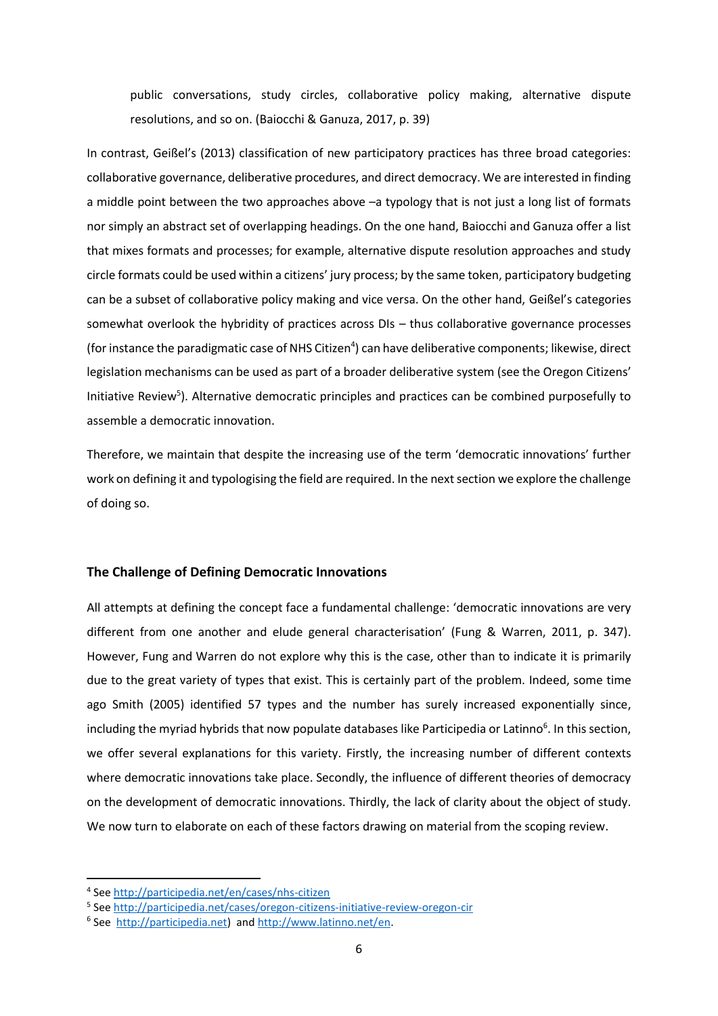public conversations, study circles, collaborative policy making, alternative dispute resolutions, and so on. (Baiocchi & Ganuza, 2017, p. 39)

In contrast, Geißel's (2013) classification of new participatory practices has three broad categories: collaborative governance, deliberative procedures, and direct democracy. We are interested in finding a middle point between the two approaches above –a typology that is not just a long list of formats nor simply an abstract set of overlapping headings. On the one hand, Baiocchi and Ganuza offer a list that mixes formats and processes; for example, alternative dispute resolution approaches and study circle formats could be used within a citizens' jury process; by the same token, participatory budgeting can be a subset of collaborative policy making and vice versa. On the other hand, Geißel's categories somewhat overlook the hybridity of practices across DIs – thus collaborative governance processes (for instance the paradigmatic case of NHS Citizen<sup>4</sup>) can have deliberative components; likewise, direct legislation mechanisms can be used as part of a broader deliberative system (see the Oregon Citizens' Initiative Review<sup>5</sup>). Alternative democratic principles and practices can be combined purposefully to assemble a democratic innovation.

Therefore, we maintain that despite the increasing use of the term 'democratic innovations' further work on defining it and typologising the field are required. In the next section we explore the challenge of doing so.

## **The Challenge of Defining Democratic Innovations**

All attempts at defining the concept face a fundamental challenge: 'democratic innovations are very different from one another and elude general characterisation' (Fung & Warren, 2011, p. 347). However, Fung and Warren do not explore why this is the case, other than to indicate it is primarily due to the great variety of types that exist. This is certainly part of the problem. Indeed, some time ago Smith (2005) identified 57 types and the number has surely increased exponentially since, including the myriad hybrids that now populate databases like Participedia or Latinno<sup>6</sup>. In this section, we offer several explanations for this variety. Firstly, the increasing number of different contexts where democratic innovations take place. Secondly, the influence of different theories of democracy on the development of democratic innovations. Thirdly, the lack of clarity about the object of study. We now turn to elaborate on each of these factors drawing on material from the scoping review.

**.** 

<sup>4</sup> See<http://participedia.net/en/cases/nhs-citizen>

<sup>&</sup>lt;sup>5</sup> See<http://participedia.net/cases/oregon-citizens-initiative-review-oregon-cir>

<sup>&</sup>lt;sup>6</sup> See [http://participedia.net\)](http://participedia.net/) an[d http://www.latinno.net/en.](http://www.latinno.net/en)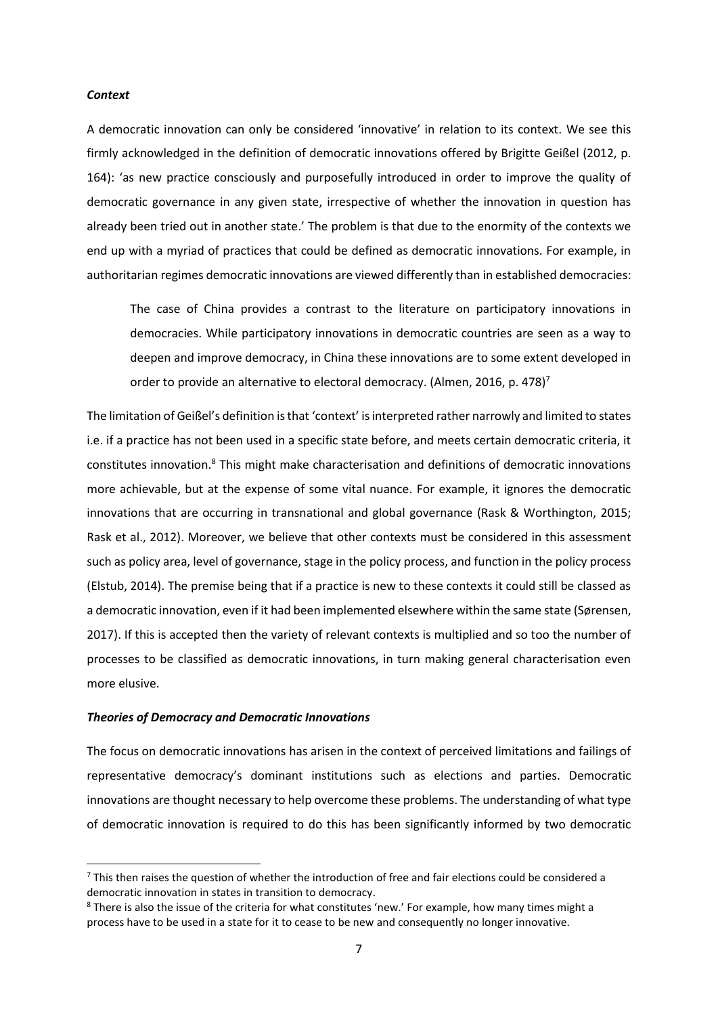## *Context*

A democratic innovation can only be considered 'innovative' in relation to its context. We see this firmly acknowledged in the definition of democratic innovations offered by Brigitte Geißel (2012, p. 164): 'as new practice consciously and purposefully introduced in order to improve the quality of democratic governance in any given state, irrespective of whether the innovation in question has already been tried out in another state.' The problem is that due to the enormity of the contexts we end up with a myriad of practices that could be defined as democratic innovations. For example, in authoritarian regimes democratic innovations are viewed differently than in established democracies:

The case of China provides a contrast to the literature on participatory innovations in democracies. While participatory innovations in democratic countries are seen as a way to deepen and improve democracy, in China these innovations are to some extent developed in order to provide an alternative to electoral democracy. (Almen, 2016, p. 478)<sup>7</sup>

The limitation of Geißel's definition is that 'context' is interpreted rather narrowly and limited to states i.e. if a practice has not been used in a specific state before, and meets certain democratic criteria, it constitutes innovation.<sup>8</sup> This might make characterisation and definitions of democratic innovations more achievable, but at the expense of some vital nuance. For example, it ignores the democratic innovations that are occurring in transnational and global governance (Rask & Worthington, 2015; Rask et al., 2012). Moreover, we believe that other contexts must be considered in this assessment such as policy area, level of governance, stage in the policy process, and function in the policy process (Elstub, 2014). The premise being that if a practice is new to these contexts it could still be classed as a democratic innovation, even if it had been implemented elsewhere within the same state (Sørensen, 2017). If this is accepted then the variety of relevant contexts is multiplied and so too the number of processes to be classified as democratic innovations, in turn making general characterisation even more elusive.

## *Theories of Democracy and Democratic Innovations*

1

The focus on democratic innovations has arisen in the context of perceived limitations and failings of representative democracy's dominant institutions such as elections and parties. Democratic innovations are thought necessary to help overcome these problems. The understanding of what type of democratic innovation is required to do this has been significantly informed by two democratic

 $7$  This then raises the question of whether the introduction of free and fair elections could be considered a democratic innovation in states in transition to democracy.

<sup>&</sup>lt;sup>8</sup> There is also the issue of the criteria for what constitutes 'new.' For example, how many times might a process have to be used in a state for it to cease to be new and consequently no longer innovative.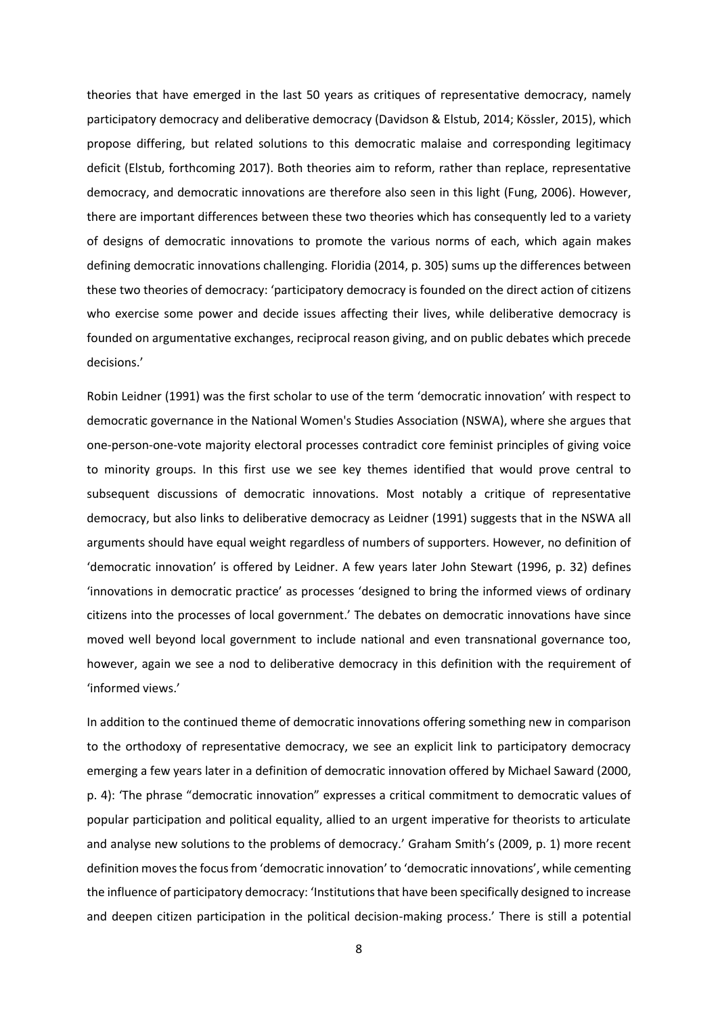theories that have emerged in the last 50 years as critiques of representative democracy, namely participatory democracy and deliberative democracy (Davidson & Elstub, 2014; Kössler, 2015), which propose differing, but related solutions to this democratic malaise and corresponding legitimacy deficit (Elstub, forthcoming 2017). Both theories aim to reform, rather than replace, representative democracy, and democratic innovations are therefore also seen in this light (Fung, 2006). However, there are important differences between these two theories which has consequently led to a variety of designs of democratic innovations to promote the various norms of each, which again makes defining democratic innovations challenging. Floridia (2014, p. 305) sums up the differences between these two theories of democracy: 'participatory democracy is founded on the direct action of citizens who exercise some power and decide issues affecting their lives, while deliberative democracy is founded on argumentative exchanges, reciprocal reason giving, and on public debates which precede decisions.'

Robin Leidner (1991) was the first scholar to use of the term 'democratic innovation' with respect to democratic governance in the National Women's Studies Association (NSWA), where she argues that one-person-one-vote majority electoral processes contradict core feminist principles of giving voice to minority groups. In this first use we see key themes identified that would prove central to subsequent discussions of democratic innovations. Most notably a critique of representative democracy, but also links to deliberative democracy as Leidner (1991) suggests that in the NSWA all arguments should have equal weight regardless of numbers of supporters. However, no definition of 'democratic innovation' is offered by Leidner. A few years later John Stewart (1996, p. 32) defines 'innovations in democratic practice' as processes 'designed to bring the informed views of ordinary citizens into the processes of local government.' The debates on democratic innovations have since moved well beyond local government to include national and even transnational governance too, however, again we see a nod to deliberative democracy in this definition with the requirement of 'informed views.'

In addition to the continued theme of democratic innovations offering something new in comparison to the orthodoxy of representative democracy, we see an explicit link to participatory democracy emerging a few years later in a definition of democratic innovation offered by Michael Saward (2000, p. 4): 'The phrase "democratic innovation" expresses a critical commitment to democratic values of popular participation and political equality, allied to an urgent imperative for theorists to articulate and analyse new solutions to the problems of democracy.' Graham Smith's (2009, p. 1) more recent definition moves the focus from 'democratic innovation' to 'democratic innovations', while cementing the influence of participatory democracy: 'Institutions that have been specifically designed to increase and deepen citizen participation in the political decision-making process.' There is still a potential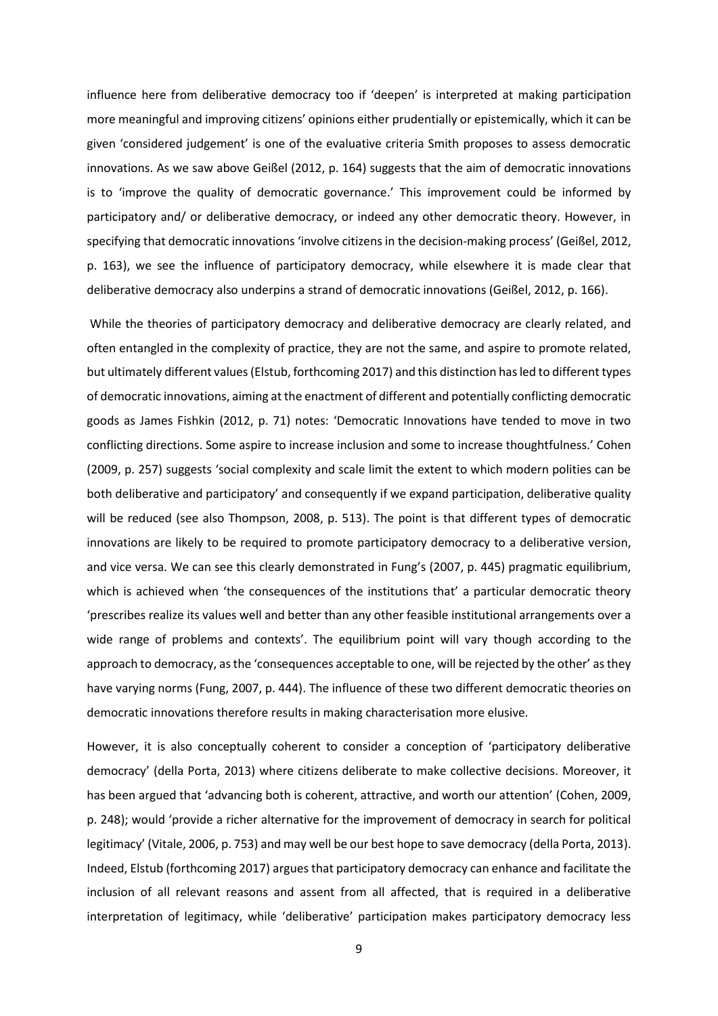influence here from deliberative democracy too if 'deepen' is interpreted at making participation more meaningful and improving citizens' opinions either prudentially or epistemically, which it can be given 'considered judgement' is one of the evaluative criteria Smith proposes to assess democratic innovations. As we saw above Geißel (2012, p. 164) suggests that the aim of democratic innovations is to 'improve the quality of democratic governance.' This improvement could be informed by participatory and/ or deliberative democracy, or indeed any other democratic theory. However, in specifying that democratic innovations 'involve citizens in the decision-making process' (Geißel, 2012, p. 163), we see the influence of participatory democracy, while elsewhere it is made clear that deliberative democracy also underpins a strand of democratic innovations (Geißel, 2012, p. 166).

While the theories of participatory democracy and deliberative democracy are clearly related, and often entangled in the complexity of practice, they are not the same, and aspire to promote related, but ultimately different values (Elstub, forthcoming 2017) and this distinction has led to different types of democratic innovations, aiming at the enactment of different and potentially conflicting democratic goods as James Fishkin (2012, p. 71) notes: 'Democratic Innovations have tended to move in two conflicting directions. Some aspire to increase inclusion and some to increase thoughtfulness.' Cohen (2009, p. 257) suggests 'social complexity and scale limit the extent to which modern polities can be both deliberative and participatory' and consequently if we expand participation, deliberative quality will be reduced (see also Thompson, 2008, p. 513). The point is that different types of democratic innovations are likely to be required to promote participatory democracy to a deliberative version, and vice versa. We can see this clearly demonstrated in Fung's (2007, p. 445) pragmatic equilibrium, which is achieved when 'the consequences of the institutions that' a particular democratic theory 'prescribes realize its values well and better than any other feasible institutional arrangements over a wide range of problems and contexts'. The equilibrium point will vary though according to the approach to democracy, as the 'consequences acceptable to one, will be rejected by the other' as they have varying norms (Fung, 2007, p. 444). The influence of these two different democratic theories on democratic innovations therefore results in making characterisation more elusive.

However, it is also conceptually coherent to consider a conception of 'participatory deliberative democracy' (della Porta, 2013) where citizens deliberate to make collective decisions. Moreover, it has been argued that 'advancing both is coherent, attractive, and worth our attention' (Cohen, 2009, p. 248); would 'provide a richer alternative for the improvement of democracy in search for political legitimacy' (Vitale, 2006, p. 753) and may well be our best hope to save democracy (della Porta, 2013). Indeed, Elstub (forthcoming 2017) argues that participatory democracy can enhance and facilitate the inclusion of all relevant reasons and assent from all affected, that is required in a deliberative interpretation of legitimacy, while 'deliberative' participation makes participatory democracy less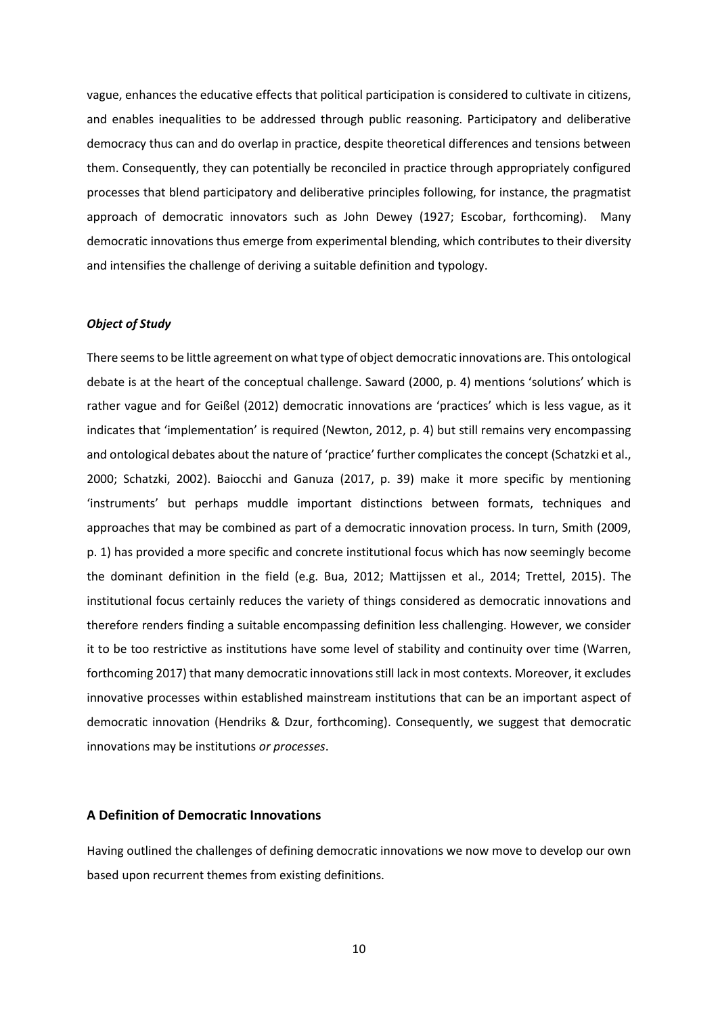vague, enhances the educative effects that political participation is considered to cultivate in citizens, and enables inequalities to be addressed through public reasoning. Participatory and deliberative democracy thus can and do overlap in practice, despite theoretical differences and tensions between them. Consequently, they can potentially be reconciled in practice through appropriately configured processes that blend participatory and deliberative principles following, for instance, the pragmatist approach of democratic innovators such as John Dewey (1927; Escobar, forthcoming). Many democratic innovations thus emerge from experimental blending, which contributes to their diversity and intensifies the challenge of deriving a suitable definition and typology.

## *Object of Study*

There seems to be little agreement on what type of object democratic innovations are. This ontological debate is at the heart of the conceptual challenge. Saward (2000, p. 4) mentions 'solutions' which is rather vague and for Geißel (2012) democratic innovations are 'practices' which is less vague, as it indicates that 'implementation' is required (Newton, 2012, p. 4) but still remains very encompassing and ontological debates about the nature of 'practice' further complicates the concept (Schatzki et al., 2000; Schatzki, 2002). Baiocchi and Ganuza (2017, p. 39) make it more specific by mentioning 'instruments' but perhaps muddle important distinctions between formats, techniques and approaches that may be combined as part of a democratic innovation process. In turn, Smith (2009, p. 1) has provided a more specific and concrete institutional focus which has now seemingly become the dominant definition in the field (e.g. Bua, 2012; Mattijssen et al., 2014; Trettel, 2015). The institutional focus certainly reduces the variety of things considered as democratic innovations and therefore renders finding a suitable encompassing definition less challenging. However, we consider it to be too restrictive as institutions have some level of stability and continuity over time (Warren, forthcoming 2017) that many democratic innovations still lack in most contexts. Moreover, it excludes innovative processes within established mainstream institutions that can be an important aspect of democratic innovation (Hendriks & Dzur, forthcoming). Consequently, we suggest that democratic innovations may be institutions *or processes*.

## **A Definition of Democratic Innovations**

Having outlined the challenges of defining democratic innovations we now move to develop our own based upon recurrent themes from existing definitions.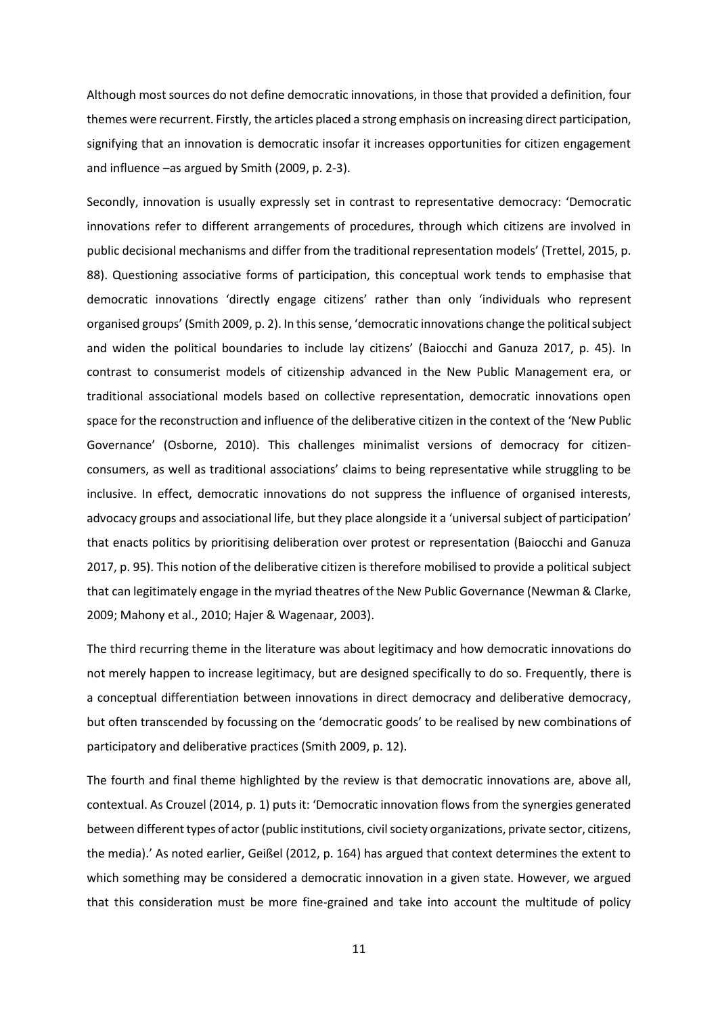Although most sources do not define democratic innovations, in those that provided a definition, four themes were recurrent. Firstly, the articles placed a strong emphasis on increasing direct participation, signifying that an innovation is democratic insofar it increases opportunities for citizen engagement and influence –as argued by Smith (2009, p. 2-3).

Secondly, innovation is usually expressly set in contrast to representative democracy: 'Democratic innovations refer to different arrangements of procedures, through which citizens are involved in public decisional mechanisms and differ from the traditional representation models' (Trettel, 2015, p. 88). Questioning associative forms of participation, this conceptual work tends to emphasise that democratic innovations 'directly engage citizens' rather than only 'individuals who represent organised groups' (Smith 2009, p. 2). In this sense, 'democratic innovations change the political subject and widen the political boundaries to include lay citizens' (Baiocchi and Ganuza 2017, p. 45). In contrast to consumerist models of citizenship advanced in the New Public Management era, or traditional associational models based on collective representation, democratic innovations open space for the reconstruction and influence of the deliberative citizen in the context of the 'New Public Governance' (Osborne, 2010). This challenges minimalist versions of democracy for citizenconsumers, as well as traditional associations' claims to being representative while struggling to be inclusive. In effect, democratic innovations do not suppress the influence of organised interests, advocacy groups and associational life, but they place alongside it a 'universal subject of participation' that enacts politics by prioritising deliberation over protest or representation (Baiocchi and Ganuza 2017, p. 95). This notion of the deliberative citizen is therefore mobilised to provide a political subject that can legitimately engage in the myriad theatres of the New Public Governance (Newman & Clarke, 2009; Mahony et al., 2010; Hajer & Wagenaar, 2003).

The third recurring theme in the literature was about legitimacy and how democratic innovations do not merely happen to increase legitimacy, but are designed specifically to do so. Frequently, there is a conceptual differentiation between innovations in direct democracy and deliberative democracy, but often transcended by focussing on the 'democratic goods' to be realised by new combinations of participatory and deliberative practices (Smith 2009, p. 12).

The fourth and final theme highlighted by the review is that democratic innovations are, above all, contextual. As Crouzel (2014, p. 1) puts it: 'Democratic innovation flows from the synergies generated between different types of actor (public institutions, civil society organizations, private sector, citizens, the media).' As noted earlier, Geißel (2012, p. 164) has argued that context determines the extent to which something may be considered a democratic innovation in a given state. However, we argued that this consideration must be more fine-grained and take into account the multitude of policy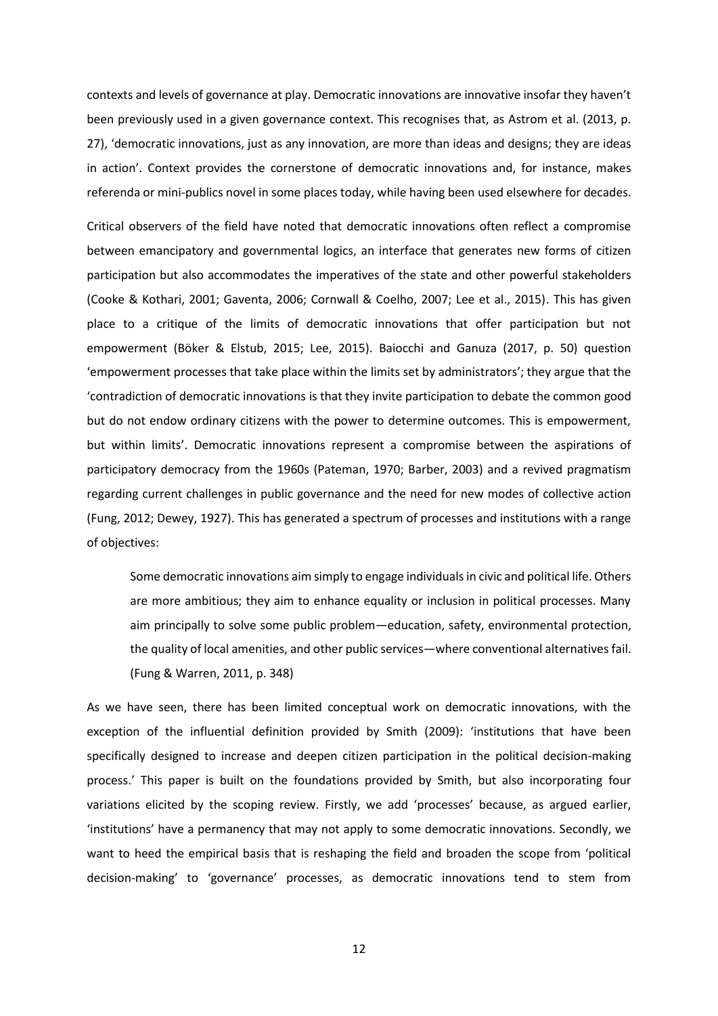contexts and levels of governance at play. Democratic innovations are innovative insofar they haven't been previously used in a given governance context. This recognises that, as Astrom et al. (2013, p. 27), 'democratic innovations, just as any innovation, are more than ideas and designs; they are ideas in action'. Context provides the cornerstone of democratic innovations and, for instance, makes referenda or mini-publics novel in some places today, while having been used elsewhere for decades.

Critical observers of the field have noted that democratic innovations often reflect a compromise between emancipatory and governmental logics, an interface that generates new forms of citizen participation but also accommodates the imperatives of the state and other powerful stakeholders (Cooke & Kothari, 2001; Gaventa, 2006; Cornwall & Coelho, 2007; Lee et al., 2015). This has given place to a critique of the limits of democratic innovations that offer participation but not empowerment (Böker & Elstub, 2015; Lee, 2015). Baiocchi and Ganuza (2017, p. 50) question 'empowerment processes that take place within the limits set by administrators'; they argue that the 'contradiction of democratic innovations is that they invite participation to debate the common good but do not endow ordinary citizens with the power to determine outcomes. This is empowerment, but within limits'. Democratic innovations represent a compromise between the aspirations of participatory democracy from the 1960s (Pateman, 1970; Barber, 2003) and a revived pragmatism regarding current challenges in public governance and the need for new modes of collective action (Fung, 2012; Dewey, 1927). This has generated a spectrum of processes and institutions with a range of objectives:

Some democratic innovations aim simply to engage individuals in civic and political life. Others are more ambitious; they aim to enhance equality or inclusion in political processes. Many aim principally to solve some public problem—education, safety, environmental protection, the quality of local amenities, and other public services—where conventional alternatives fail. (Fung & Warren, 2011, p. 348)

As we have seen, there has been limited conceptual work on democratic innovations, with the exception of the influential definition provided by Smith (2009): 'institutions that have been specifically designed to increase and deepen citizen participation in the political decision-making process.' This paper is built on the foundations provided by Smith, but also incorporating four variations elicited by the scoping review. Firstly, we add 'processes' because, as argued earlier, 'institutions' have a permanency that may not apply to some democratic innovations. Secondly, we want to heed the empirical basis that is reshaping the field and broaden the scope from 'political decision-making' to 'governance' processes, as democratic innovations tend to stem from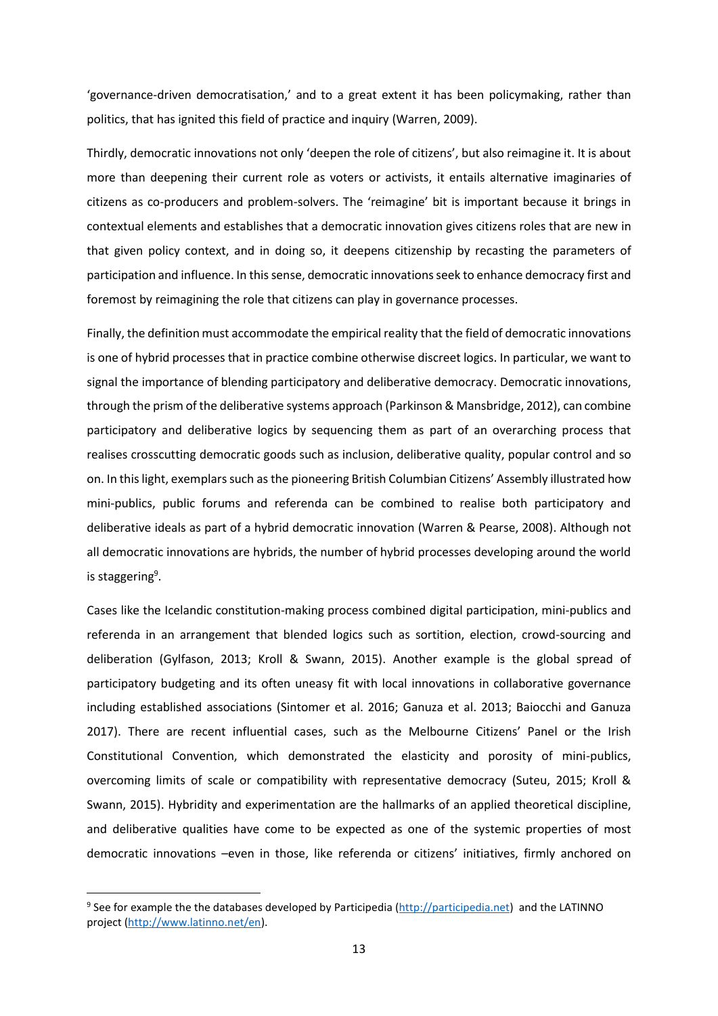'governance-driven democratisation,' and to a great extent it has been policymaking, rather than politics, that has ignited this field of practice and inquiry (Warren, 2009).

Thirdly, democratic innovations not only 'deepen the role of citizens', but also reimagine it. It is about more than deepening their current role as voters or activists, it entails alternative imaginaries of citizens as co-producers and problem-solvers. The 'reimagine' bit is important because it brings in contextual elements and establishes that a democratic innovation gives citizens roles that are new in that given policy context, and in doing so, it deepens citizenship by recasting the parameters of participation and influence. In this sense, democratic innovations seek to enhance democracy first and foremost by reimagining the role that citizens can play in governance processes.

Finally, the definition must accommodate the empirical reality that the field of democratic innovations is one of hybrid processes that in practice combine otherwise discreet logics. In particular, we want to signal the importance of blending participatory and deliberative democracy. Democratic innovations, through the prism of the deliberative systems approach (Parkinson & Mansbridge, 2012), can combine participatory and deliberative logics by sequencing them as part of an overarching process that realises crosscutting democratic goods such as inclusion, deliberative quality, popular control and so on. In this light, exemplars such as the pioneering British Columbian Citizens' Assembly illustrated how mini-publics, public forums and referenda can be combined to realise both participatory and deliberative ideals as part of a hybrid democratic innovation (Warren & Pearse, 2008). Although not all democratic innovations are hybrids, the number of hybrid processes developing around the world is staggering<sup>9</sup>.

Cases like the Icelandic constitution-making process combined digital participation, mini-publics and referenda in an arrangement that blended logics such as sortition, election, crowd-sourcing and deliberation (Gylfason, 2013; Kroll & Swann, 2015). Another example is the global spread of participatory budgeting and its often uneasy fit with local innovations in collaborative governance including established associations (Sintomer et al. 2016; Ganuza et al. 2013; Baiocchi and Ganuza 2017). There are recent influential cases, such as the Melbourne Citizens' Panel or the Irish Constitutional Convention, which demonstrated the elasticity and porosity of mini-publics, overcoming limits of scale or compatibility with representative democracy (Suteu, 2015; Kroll & Swann, 2015). Hybridity and experimentation are the hallmarks of an applied theoretical discipline, and deliberative qualities have come to be expected as one of the systemic properties of most democratic innovations –even in those, like referenda or citizens' initiatives, firmly anchored on

<sup>&</sup>lt;sup>9</sup> See for example the the databases developed by Participedia [\(http://participedia.net\)](http://participedia.net/) and the LATINNO project [\(http://www.latinno.net/en\)](http://www.latinno.net/en).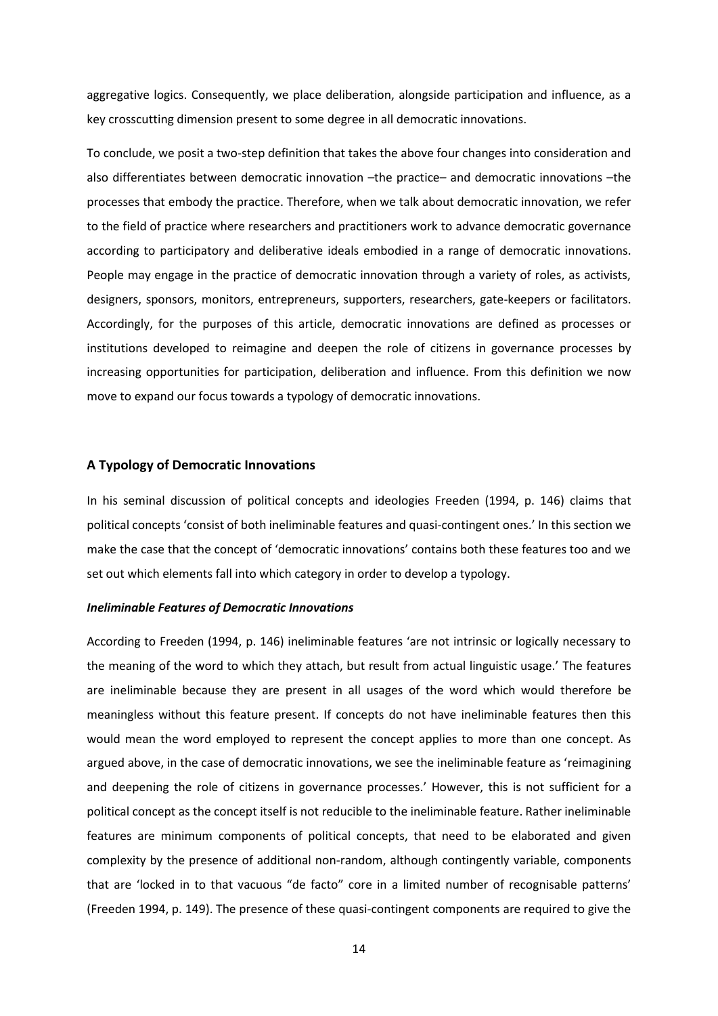aggregative logics. Consequently, we place deliberation, alongside participation and influence, as a key crosscutting dimension present to some degree in all democratic innovations.

To conclude, we posit a two-step definition that takes the above four changes into consideration and also differentiates between democratic innovation –the practice– and democratic innovations –the processes that embody the practice. Therefore, when we talk about democratic innovation, we refer to the field of practice where researchers and practitioners work to advance democratic governance according to participatory and deliberative ideals embodied in a range of democratic innovations. People may engage in the practice of democratic innovation through a variety of roles, as activists, designers, sponsors, monitors, entrepreneurs, supporters, researchers, gate-keepers or facilitators. Accordingly, for the purposes of this article, democratic innovations are defined as processes or institutions developed to reimagine and deepen the role of citizens in governance processes by increasing opportunities for participation, deliberation and influence. From this definition we now move to expand our focus towards a typology of democratic innovations.

## **A Typology of Democratic Innovations**

In his seminal discussion of political concepts and ideologies Freeden (1994, p. 146) claims that political concepts 'consist of both ineliminable features and quasi-contingent ones.' In this section we make the case that the concept of 'democratic innovations' contains both these features too and we set out which elements fall into which category in order to develop a typology.

## *Ineliminable Features of Democratic Innovations*

According to Freeden (1994, p. 146) ineliminable features 'are not intrinsic or logically necessary to the meaning of the word to which they attach, but result from actual linguistic usage.' The features are ineliminable because they are present in all usages of the word which would therefore be meaningless without this feature present. If concepts do not have ineliminable features then this would mean the word employed to represent the concept applies to more than one concept. As argued above, in the case of democratic innovations, we see the ineliminable feature as 'reimagining and deepening the role of citizens in governance processes.' However, this is not sufficient for a political concept as the concept itself is not reducible to the ineliminable feature. Rather ineliminable features are minimum components of political concepts, that need to be elaborated and given complexity by the presence of additional non-random, although contingently variable, components that are 'locked in to that vacuous "de facto" core in a limited number of recognisable patterns' (Freeden 1994, p. 149). The presence of these quasi-contingent components are required to give the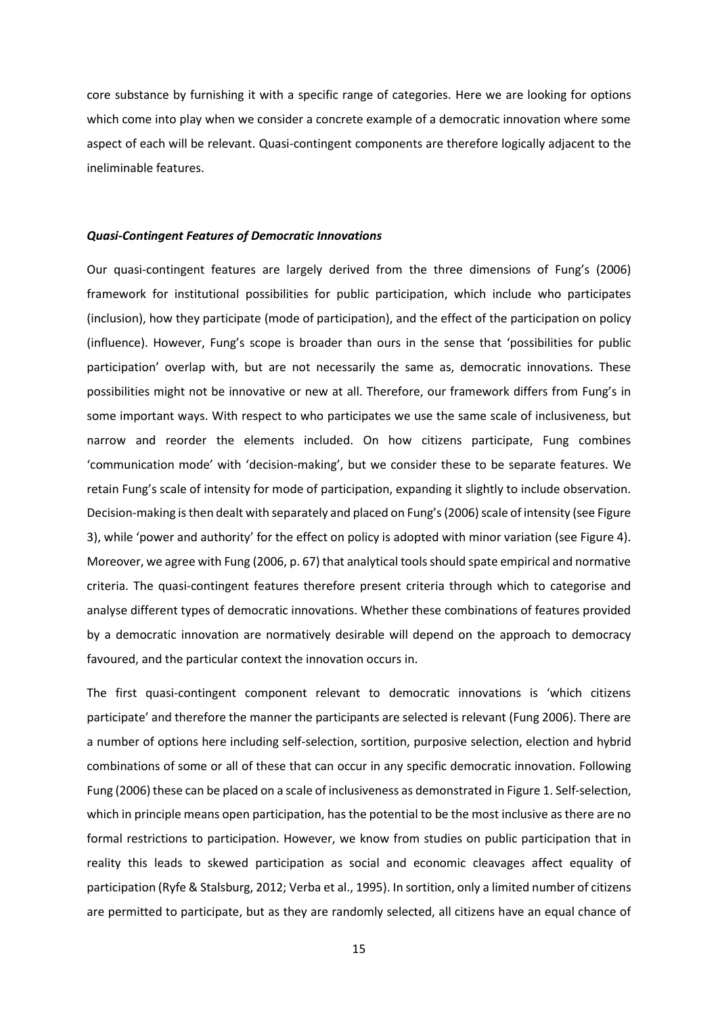core substance by furnishing it with a specific range of categories. Here we are looking for options which come into play when we consider a concrete example of a democratic innovation where some aspect of each will be relevant. Quasi-contingent components are therefore logically adjacent to the ineliminable features.

#### *Quasi-Contingent Features of Democratic Innovations*

Our quasi-contingent features are largely derived from the three dimensions of Fung's (2006) framework for institutional possibilities for public participation, which include who participates (inclusion), how they participate (mode of participation), and the effect of the participation on policy (influence). However, Fung's scope is broader than ours in the sense that 'possibilities for public participation' overlap with, but are not necessarily the same as, democratic innovations. These possibilities might not be innovative or new at all. Therefore, our framework differs from Fung's in some important ways. With respect to who participates we use the same scale of inclusiveness, but narrow and reorder the elements included. On how citizens participate, Fung combines 'communication mode' with 'decision-making', but we consider these to be separate features. We retain Fung's scale of intensity for mode of participation, expanding it slightly to include observation. Decision-making is then dealt with separately and placed on Fung's (2006) scale of intensity (see Figure 3), while 'power and authority' for the effect on policy is adopted with minor variation (see Figure 4). Moreover, we agree with Fung (2006, p. 67) that analytical tools should spate empirical and normative criteria. The quasi-contingent features therefore present criteria through which to categorise and analyse different types of democratic innovations. Whether these combinations of features provided by a democratic innovation are normatively desirable will depend on the approach to democracy favoured, and the particular context the innovation occurs in.

The first quasi-contingent component relevant to democratic innovations is 'which citizens participate' and therefore the manner the participants are selected is relevant (Fung 2006). There are a number of options here including self-selection, sortition, purposive selection, election and hybrid combinations of some or all of these that can occur in any specific democratic innovation. Following Fung (2006) these can be placed on a scale of inclusiveness as demonstrated in Figure 1. Self-selection, which in principle means open participation, has the potential to be the most inclusive as there are no formal restrictions to participation. However, we know from studies on public participation that in reality this leads to skewed participation as social and economic cleavages affect equality of participation (Ryfe & Stalsburg, 2012; Verba et al., 1995). In sortition, only a limited number of citizens are permitted to participate, but as they are randomly selected, all citizens have an equal chance of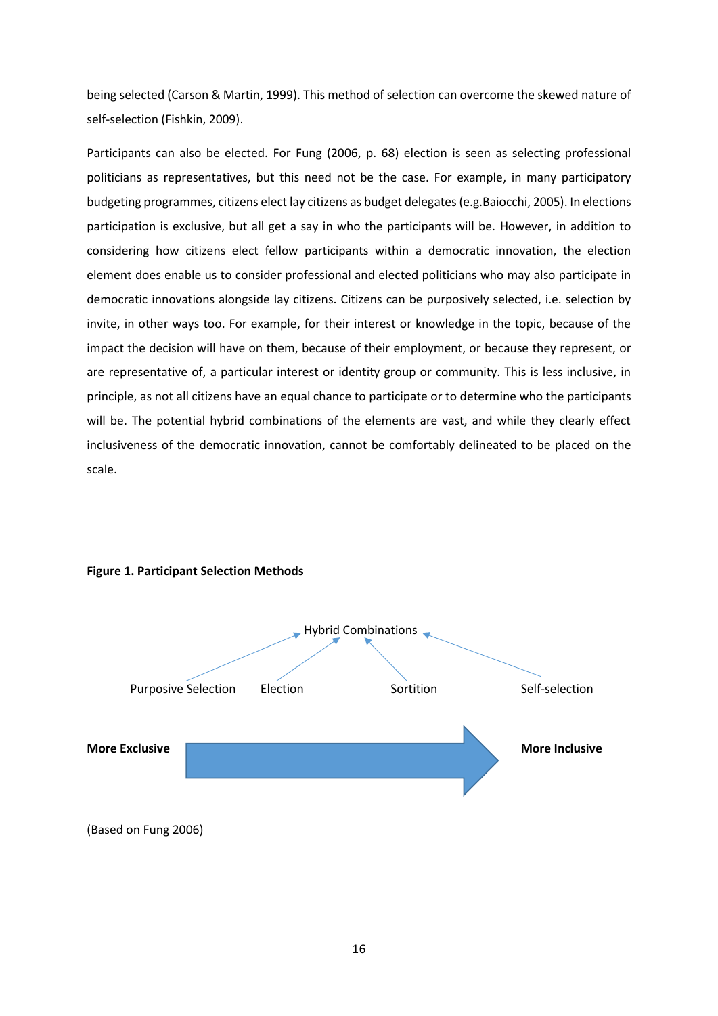being selected (Carson & Martin, 1999). This method of selection can overcome the skewed nature of self-selection (Fishkin, 2009).

Participants can also be elected. For Fung (2006, p. 68) election is seen as selecting professional politicians as representatives, but this need not be the case. For example, in many participatory budgeting programmes, citizens elect lay citizens as budget delegates(e.g.Baiocchi, 2005). In elections participation is exclusive, but all get a say in who the participants will be. However, in addition to considering how citizens elect fellow participants within a democratic innovation, the election element does enable us to consider professional and elected politicians who may also participate in democratic innovations alongside lay citizens. Citizens can be purposively selected, i.e. selection by invite, in other ways too. For example, for their interest or knowledge in the topic, because of the impact the decision will have on them, because of their employment, or because they represent, or are representative of, a particular interest or identity group or community. This is less inclusive, in principle, as not all citizens have an equal chance to participate or to determine who the participants will be. The potential hybrid combinations of the elements are vast, and while they clearly effect inclusiveness of the democratic innovation, cannot be comfortably delineated to be placed on the scale.



## **Figure 1. Participant Selection Methods**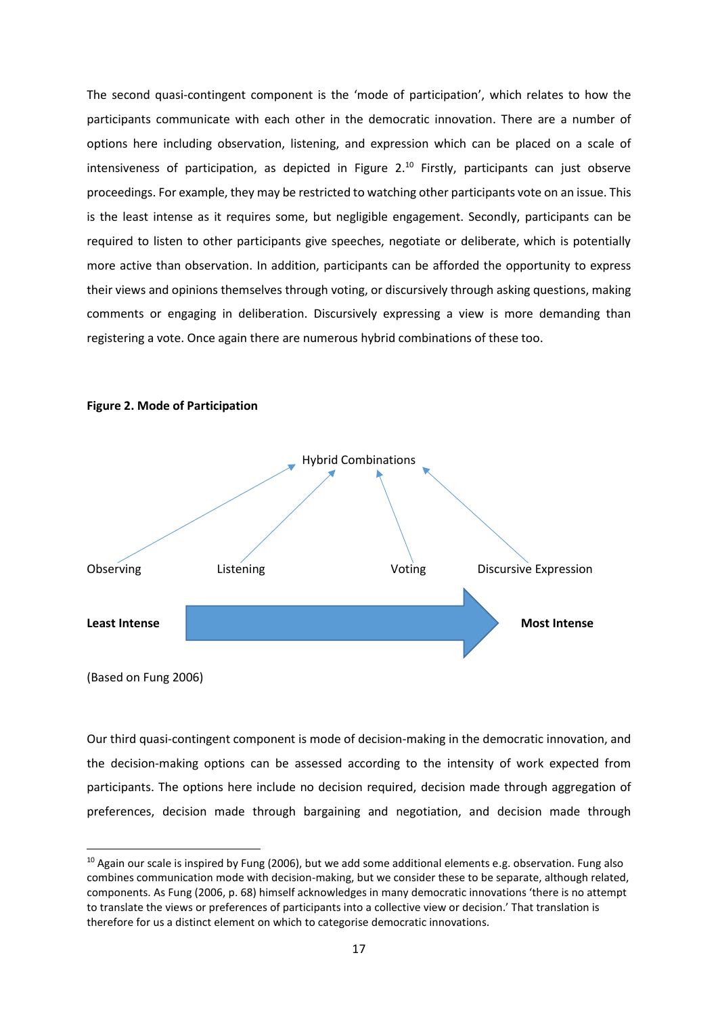The second quasi-contingent component is the 'mode of participation', which relates to how the participants communicate with each other in the democratic innovation. There are a number of options here including observation, listening, and expression which can be placed on a scale of intensiveness of participation, as depicted in Figure  $2^{10}$  Firstly, participants can just observe proceedings. For example, they may be restricted to watching other participants vote on an issue. This is the least intense as it requires some, but negligible engagement. Secondly, participants can be required to listen to other participants give speeches, negotiate or deliberate, which is potentially more active than observation. In addition, participants can be afforded the opportunity to express their views and opinions themselves through voting, or discursively through asking questions, making comments or engaging in deliberation. Discursively expressing a view is more demanding than registering a vote. Once again there are numerous hybrid combinations of these too.



#### **Figure 2. Mode of Participation**

(Based on Fung 2006)

**.** 

Our third quasi-contingent component is mode of decision-making in the democratic innovation, and the decision-making options can be assessed according to the intensity of work expected from participants. The options here include no decision required, decision made through aggregation of preferences, decision made through bargaining and negotiation, and decision made through

 $10$  Again our scale is inspired by Fung (2006), but we add some additional elements e.g. observation. Fung also combines communication mode with decision-making, but we consider these to be separate, although related, components. As Fung (2006, p. 68) himself acknowledges in many democratic innovations 'there is no attempt to translate the views or preferences of participants into a collective view or decision.' That translation is therefore for us a distinct element on which to categorise democratic innovations.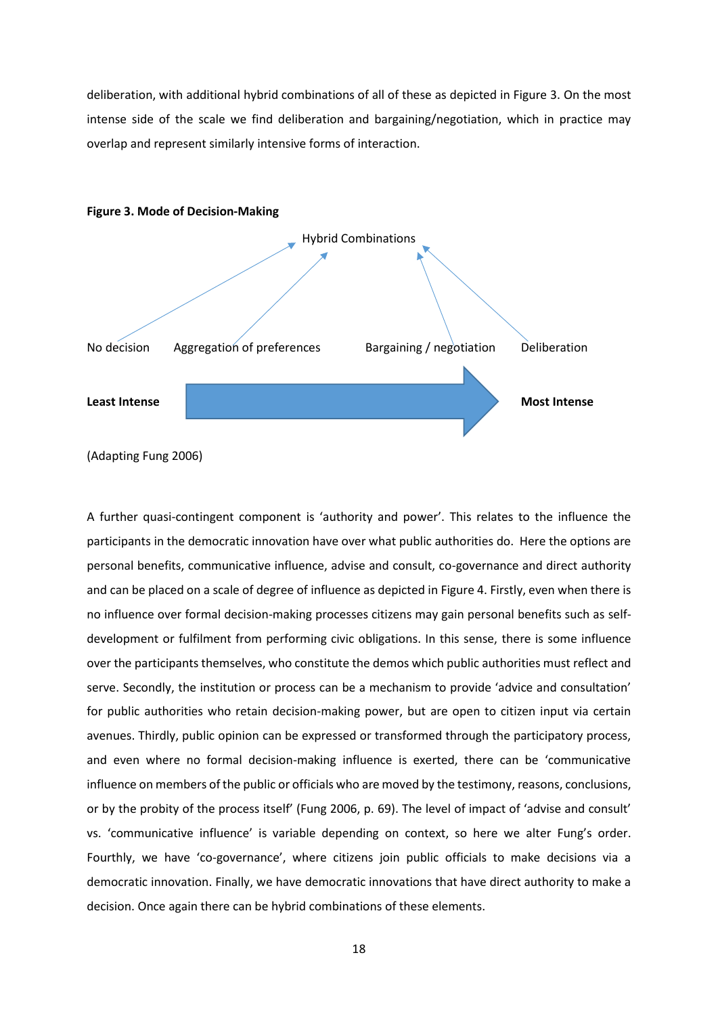deliberation, with additional hybrid combinations of all of these as depicted in Figure 3. On the most intense side of the scale we find deliberation and bargaining/negotiation, which in practice may overlap and represent similarly intensive forms of interaction.





(Adapting Fung 2006)

A further quasi-contingent component is 'authority and power'. This relates to the influence the participants in the democratic innovation have over what public authorities do. Here the options are personal benefits, communicative influence, advise and consult, co-governance and direct authority and can be placed on a scale of degree of influence as depicted in Figure 4. Firstly, even when there is no influence over formal decision-making processes citizens may gain personal benefits such as selfdevelopment or fulfilment from performing civic obligations. In this sense, there is some influence over the participants themselves, who constitute the demos which public authorities must reflect and serve. Secondly, the institution or process can be a mechanism to provide 'advice and consultation' for public authorities who retain decision-making power, but are open to citizen input via certain avenues. Thirdly, public opinion can be expressed or transformed through the participatory process, and even where no formal decision-making influence is exerted, there can be 'communicative influence on members of the public or officials who are moved by the testimony, reasons, conclusions, or by the probity of the process itself' (Fung 2006, p. 69). The level of impact of 'advise and consult' vs. 'communicative influence' is variable depending on context, so here we alter Fung's order. Fourthly, we have 'co-governance', where citizens join public officials to make decisions via a democratic innovation. Finally, we have democratic innovations that have direct authority to make a decision. Once again there can be hybrid combinations of these elements.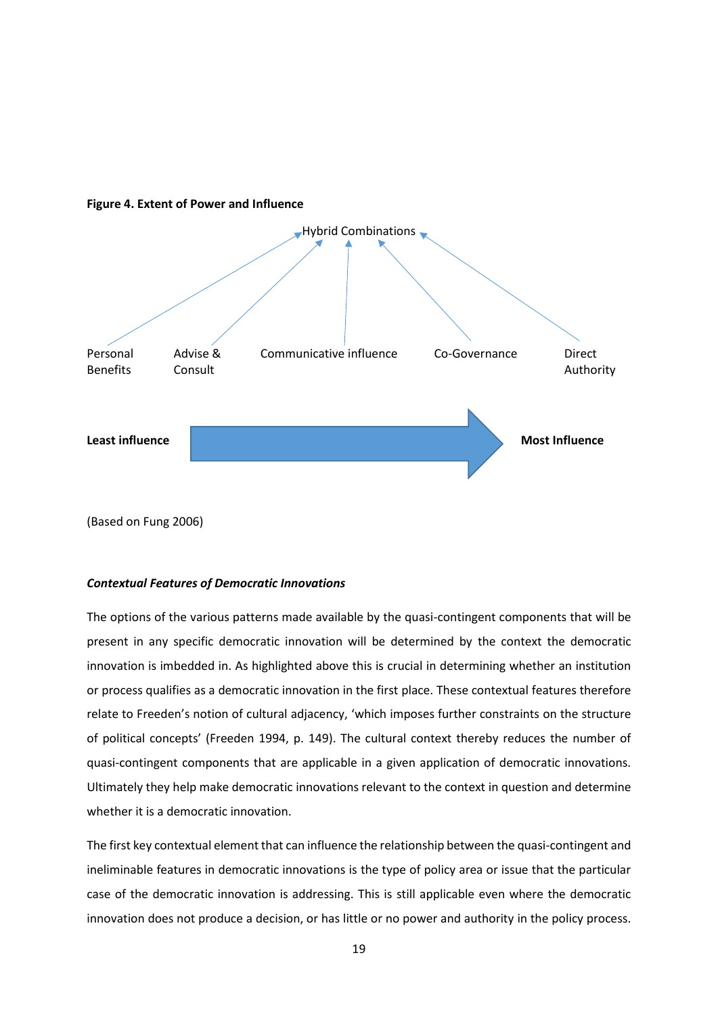

## **Figure 4. Extent of Power and Influence**

(Based on Fung 2006)

## *Contextual Features of Democratic Innovations*

The options of the various patterns made available by the quasi-contingent components that will be present in any specific democratic innovation will be determined by the context the democratic innovation is imbedded in. As highlighted above this is crucial in determining whether an institution or process qualifies as a democratic innovation in the first place. These contextual features therefore relate to Freeden's notion of cultural adjacency, 'which imposes further constraints on the structure of political concepts' (Freeden 1994, p. 149). The cultural context thereby reduces the number of quasi-contingent components that are applicable in a given application of democratic innovations. Ultimately they help make democratic innovations relevant to the context in question and determine whether it is a democratic innovation.

The first key contextual element that can influence the relationship between the quasi-contingent and ineliminable features in democratic innovations is the type of policy area or issue that the particular case of the democratic innovation is addressing. This is still applicable even where the democratic innovation does not produce a decision, or has little or no power and authority in the policy process.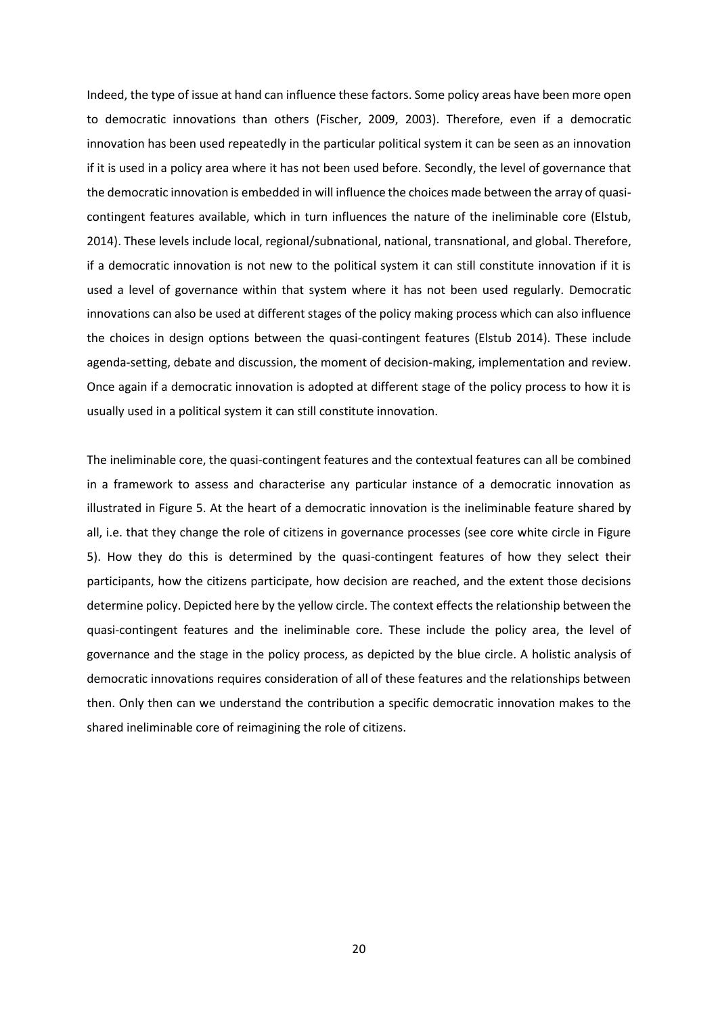Indeed, the type of issue at hand can influence these factors. Some policy areas have been more open to democratic innovations than others (Fischer, 2009, 2003). Therefore, even if a democratic innovation has been used repeatedly in the particular political system it can be seen as an innovation if it is used in a policy area where it has not been used before. Secondly, the level of governance that the democratic innovation is embedded in will influence the choices made between the array of quasicontingent features available, which in turn influences the nature of the ineliminable core (Elstub, 2014). These levels include local, regional/subnational, national, transnational, and global. Therefore, if a democratic innovation is not new to the political system it can still constitute innovation if it is used a level of governance within that system where it has not been used regularly. Democratic innovations can also be used at different stages of the policy making process which can also influence the choices in design options between the quasi-contingent features (Elstub 2014). These include agenda-setting, debate and discussion, the moment of decision-making, implementation and review. Once again if a democratic innovation is adopted at different stage of the policy process to how it is usually used in a political system it can still constitute innovation.

The ineliminable core, the quasi-contingent features and the contextual features can all be combined in a framework to assess and characterise any particular instance of a democratic innovation as illustrated in Figure 5. At the heart of a democratic innovation is the ineliminable feature shared by all, i.e. that they change the role of citizens in governance processes (see core white circle in Figure 5). How they do this is determined by the quasi-contingent features of how they select their participants, how the citizens participate, how decision are reached, and the extent those decisions determine policy. Depicted here by the yellow circle. The context effects the relationship between the quasi-contingent features and the ineliminable core. These include the policy area, the level of governance and the stage in the policy process, as depicted by the blue circle. A holistic analysis of democratic innovations requires consideration of all of these features and the relationships between then. Only then can we understand the contribution a specific democratic innovation makes to the shared ineliminable core of reimagining the role of citizens.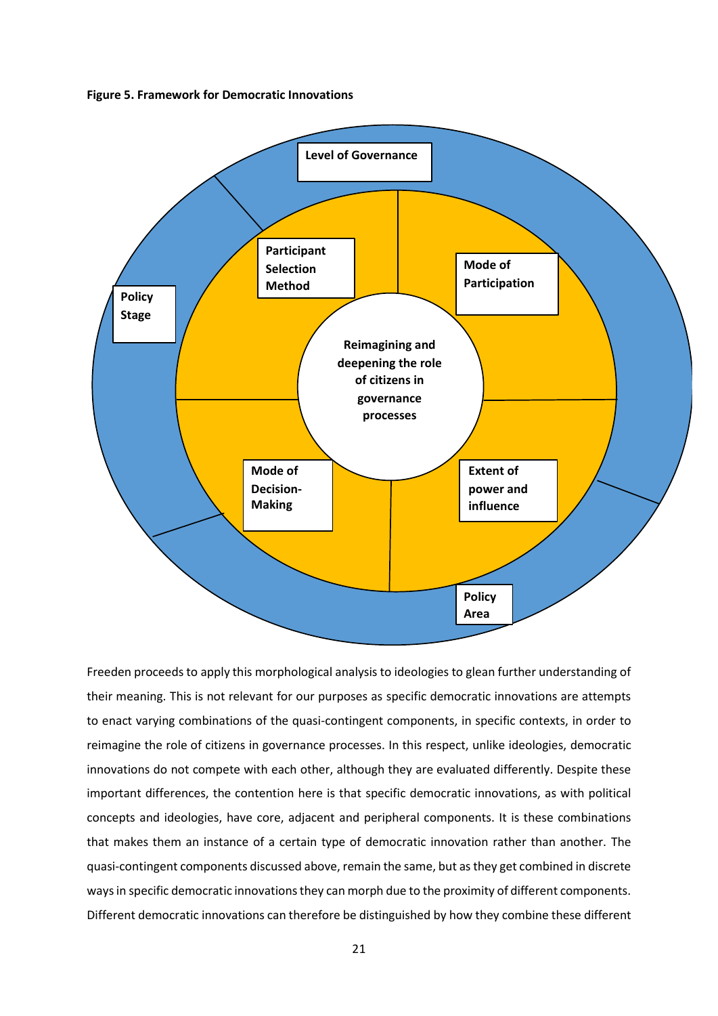**Figure 5. Framework for Democratic Innovations** 1 



Freeden proceeds to apply this morphological analysis to ideologies to glean further understanding of their meaning. This is not relevant for our purposes as specific democratic innovations are attempts to enact varying combinations of the quasi-contingent components, in specific contexts, in order to reimagine the role of citizens in governance processes. In this respect, unlike ideologies, democratic innovations do not compete with each other, although they are evaluated differently. Despite these important differences, the contention here is that specific democratic innovations, as with political concepts and ideologies, have core, adjacent and peripheral components. It is these combinations that makes them an instance of a certain type of democratic innovation rather than another. The quasi-contingent components discussed above, remain the same, but as they get combined in discrete ways in specific democratic innovations they can morph due to the proximity of different components. Different democratic innovations can therefore be distinguished by how they combine these different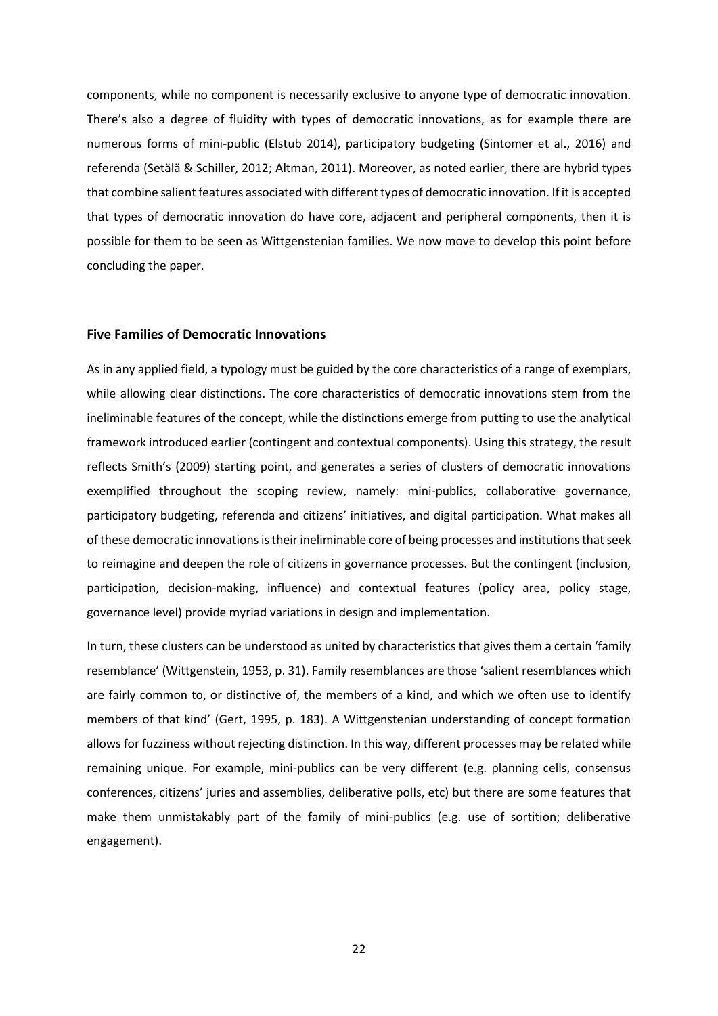components, while no component is necessarily exclusive to anyone type of democratic innovation. There's also a degree of fluidity with types of democratic innovations, as for example there are numerous forms of mini-public (Elstub 2014), participatory budgeting (Sintomer et al., 2016) and referenda (Setälä & Schiller, 2012; Altman, 2011). Moreover, as noted earlier, there are hybrid types that combine salient features associated with different types of democratic innovation. If it is accepted that types of democratic innovation do have core, adjacent and peripheral components, then it is possible for them to be seen as Wittgenstenian families. We now move to develop this point before concluding the paper.

## **Five Families of Democratic Innovations**

As in any applied field, a typology must be guided by the core characteristics of a range of exemplars, while allowing clear distinctions. The core characteristics of democratic innovations stem from the ineliminable features of the concept, while the distinctions emerge from putting to use the analytical framework introduced earlier (contingent and contextual components). Using this strategy, the result reflects Smith's (2009) starting point, and generates a series of clusters of democratic innovations exemplified throughout the scoping review, namely: mini-publics, collaborative governance, participatory budgeting, referenda and citizens' initiatives, and digital participation. What makes all of these democratic innovations is their ineliminable core of being processes and institutions that seek to reimagine and deepen the role of citizens in governance processes. But the contingent (inclusion, participation, decision-making, influence) and contextual features (policy area, policy stage, governance level) provide myriad variations in design and implementation.

In turn, these clusters can be understood as united by characteristics that gives them a certain 'family resemblance' (Wittgenstein, 1953, p. 31). Family resemblances are those 'salient resemblances which are fairly common to, or distinctive of, the members of a kind, and which we often use to identify members of that kind' (Gert, 1995, p. 183). A Wittgenstenian understanding of concept formation allows for fuzziness without rejecting distinction. In this way, different processes may be related while remaining unique. For example, mini-publics can be very different (e.g. planning cells, consensus conferences, citizens' juries and assemblies, deliberative polls, etc) but there are some features that make them unmistakably part of the family of mini-publics (e.g. use of sortition; deliberative engagement).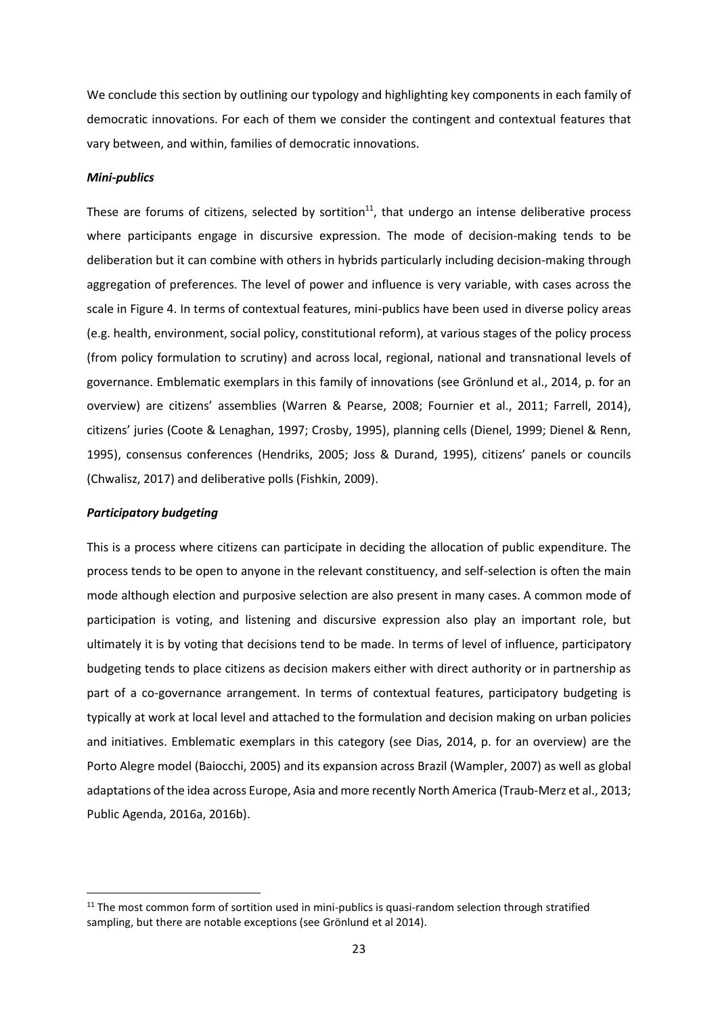We conclude this section by outlining our typology and highlighting key components in each family of democratic innovations. For each of them we consider the contingent and contextual features that vary between, and within, families of democratic innovations.

## *Mini-publics*

These are forums of citizens, selected by sortition<sup>11</sup>, that undergo an intense deliberative process where participants engage in discursive expression. The mode of decision-making tends to be deliberation but it can combine with others in hybrids particularly including decision-making through aggregation of preferences. The level of power and influence is very variable, with cases across the scale in Figure 4. In terms of contextual features, mini-publics have been used in diverse policy areas (e.g. health, environment, social policy, constitutional reform), at various stages of the policy process (from policy formulation to scrutiny) and across local, regional, national and transnational levels of governance. Emblematic exemplars in this family of innovations (see Grönlund et al., 2014, p. for an overview) are citizens' assemblies (Warren & Pearse, 2008; Fournier et al., 2011; Farrell, 2014), citizens' juries (Coote & Lenaghan, 1997; Crosby, 1995), planning cells (Dienel, 1999; Dienel & Renn, 1995), consensus conferences (Hendriks, 2005; Joss & Durand, 1995), citizens' panels or councils (Chwalisz, 2017) and deliberative polls (Fishkin, 2009).

#### *Participatory budgeting*

1

This is a process where citizens can participate in deciding the allocation of public expenditure. The process tends to be open to anyone in the relevant constituency, and self-selection is often the main mode although election and purposive selection are also present in many cases. A common mode of participation is voting, and listening and discursive expression also play an important role, but ultimately it is by voting that decisions tend to be made. In terms of level of influence, participatory budgeting tends to place citizens as decision makers either with direct authority or in partnership as part of a co-governance arrangement. In terms of contextual features, participatory budgeting is typically at work at local level and attached to the formulation and decision making on urban policies and initiatives. Emblematic exemplars in this category (see Dias, 2014, p. for an overview) are the Porto Alegre model (Baiocchi, 2005) and its expansion across Brazil (Wampler, 2007) as well as global adaptations of the idea across Europe, Asia and more recently North America (Traub-Merz et al., 2013; Public Agenda, 2016a, 2016b).

<sup>&</sup>lt;sup>11</sup> The most common form of sortition used in mini-publics is quasi-random selection through stratified sampling, but there are notable exceptions (see Grönlund et al 2014).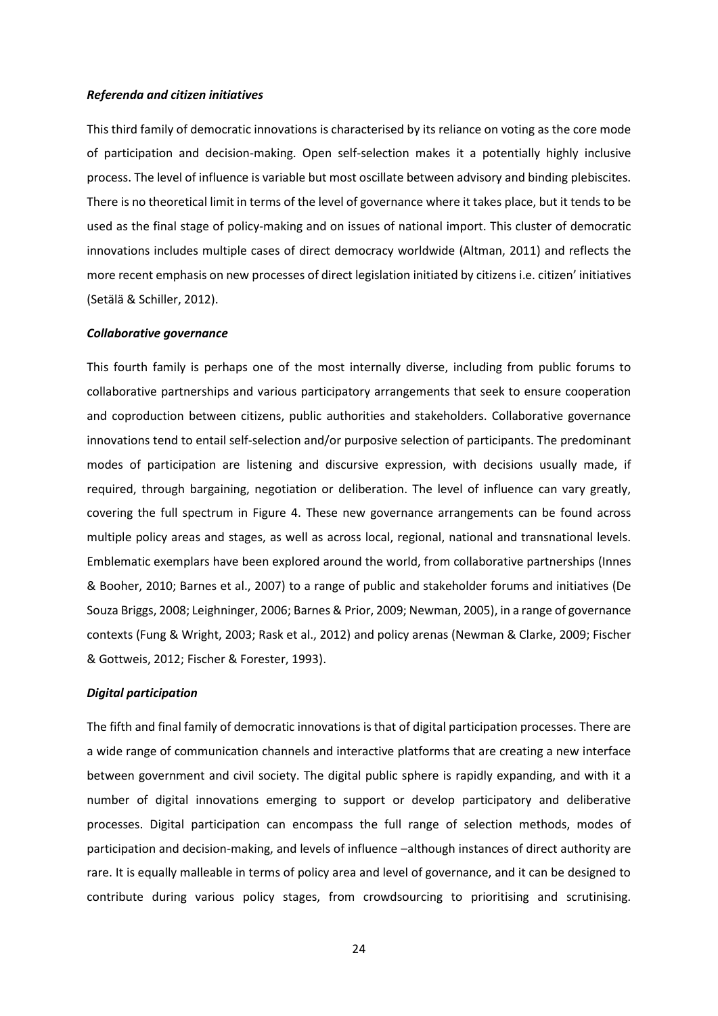#### *Referenda and citizen initiatives*

This third family of democratic innovations is characterised by its reliance on voting as the core mode of participation and decision-making. Open self-selection makes it a potentially highly inclusive process. The level of influence is variable but most oscillate between advisory and binding plebiscites. There is no theoretical limit in terms of the level of governance where it takes place, but it tends to be used as the final stage of policy-making and on issues of national import. This cluster of democratic innovations includes multiple cases of direct democracy worldwide (Altman, 2011) and reflects the more recent emphasis on new processes of direct legislation initiated by citizens i.e. citizen' initiatives (Setälä & Schiller, 2012).

#### *Collaborative governance*

This fourth family is perhaps one of the most internally diverse, including from public forums to collaborative partnerships and various participatory arrangements that seek to ensure cooperation and coproduction between citizens, public authorities and stakeholders. Collaborative governance innovations tend to entail self-selection and/or purposive selection of participants. The predominant modes of participation are listening and discursive expression, with decisions usually made, if required, through bargaining, negotiation or deliberation. The level of influence can vary greatly, covering the full spectrum in Figure 4. These new governance arrangements can be found across multiple policy areas and stages, as well as across local, regional, national and transnational levels. Emblematic exemplars have been explored around the world, from collaborative partnerships (Innes & Booher, 2010; Barnes et al., 2007) to a range of public and stakeholder forums and initiatives (De Souza Briggs, 2008; Leighninger, 2006; Barnes & Prior, 2009; Newman, 2005), in a range of governance contexts (Fung & Wright, 2003; Rask et al., 2012) and policy arenas (Newman & Clarke, 2009; Fischer & Gottweis, 2012; Fischer & Forester, 1993).

#### *Digital participation*

The fifth and final family of democratic innovations is that of digital participation processes. There are a wide range of communication channels and interactive platforms that are creating a new interface between government and civil society. The digital public sphere is rapidly expanding, and with it a number of digital innovations emerging to support or develop participatory and deliberative processes. Digital participation can encompass the full range of selection methods, modes of participation and decision-making, and levels of influence –although instances of direct authority are rare. It is equally malleable in terms of policy area and level of governance, and it can be designed to contribute during various policy stages, from crowdsourcing to prioritising and scrutinising.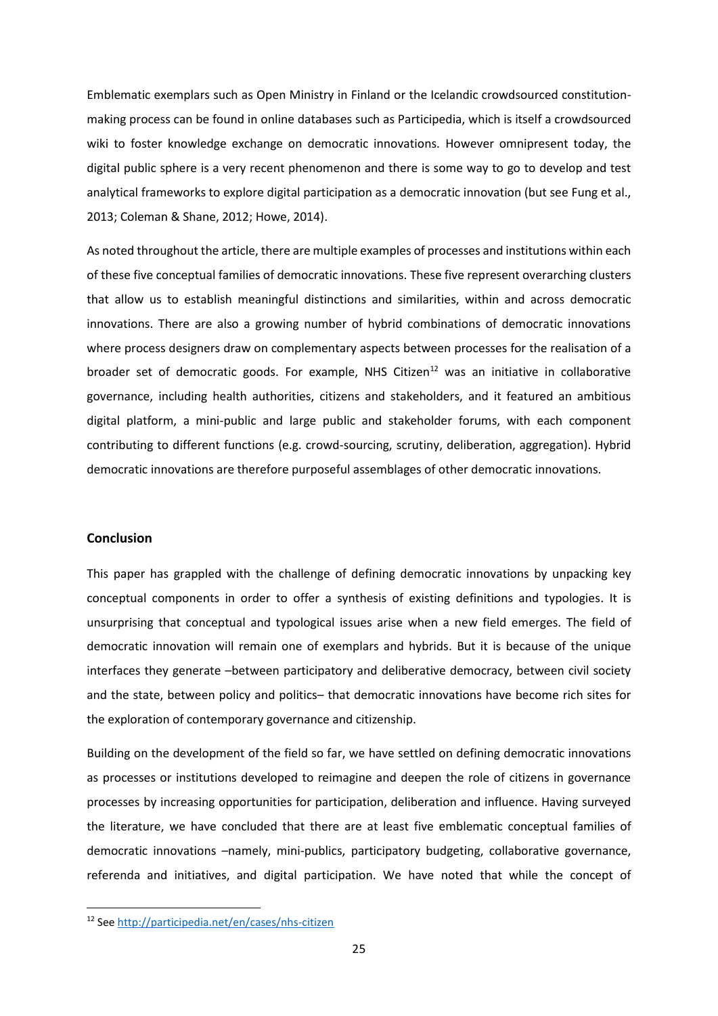Emblematic exemplars such as Open Ministry in Finland or the Icelandic crowdsourced constitutionmaking process can be found in online databases such as Participedia, which is itself a crowdsourced wiki to foster knowledge exchange on democratic innovations. However omnipresent today, the digital public sphere is a very recent phenomenon and there is some way to go to develop and test analytical frameworks to explore digital participation as a democratic innovation (but see Fung et al., 2013; Coleman & Shane, 2012; Howe, 2014).

As noted throughout the article, there are multiple examples of processes and institutions within each of these five conceptual families of democratic innovations. These five represent overarching clusters that allow us to establish meaningful distinctions and similarities, within and across democratic innovations. There are also a growing number of hybrid combinations of democratic innovations where process designers draw on complementary aspects between processes for the realisation of a broader set of democratic goods. For example, NHS Citizen<sup>12</sup> was an initiative in collaborative governance, including health authorities, citizens and stakeholders, and it featured an ambitious digital platform, a mini-public and large public and stakeholder forums, with each component contributing to different functions (e.g. crowd-sourcing, scrutiny, deliberation, aggregation). Hybrid democratic innovations are therefore purposeful assemblages of other democratic innovations.

## **Conclusion**

**.** 

This paper has grappled with the challenge of defining democratic innovations by unpacking key conceptual components in order to offer a synthesis of existing definitions and typologies. It is unsurprising that conceptual and typological issues arise when a new field emerges. The field of democratic innovation will remain one of exemplars and hybrids. But it is because of the unique interfaces they generate –between participatory and deliberative democracy, between civil society and the state, between policy and politics– that democratic innovations have become rich sites for the exploration of contemporary governance and citizenship.

Building on the development of the field so far, we have settled on defining democratic innovations as processes or institutions developed to reimagine and deepen the role of citizens in governance processes by increasing opportunities for participation, deliberation and influence. Having surveyed the literature, we have concluded that there are at least five emblematic conceptual families of democratic innovations –namely, mini-publics, participatory budgeting, collaborative governance, referenda and initiatives, and digital participation. We have noted that while the concept of

<sup>12</sup> Se[e http://participedia.net/en/cases/nhs-citizen](http://participedia.net/en/cases/nhs-citizen)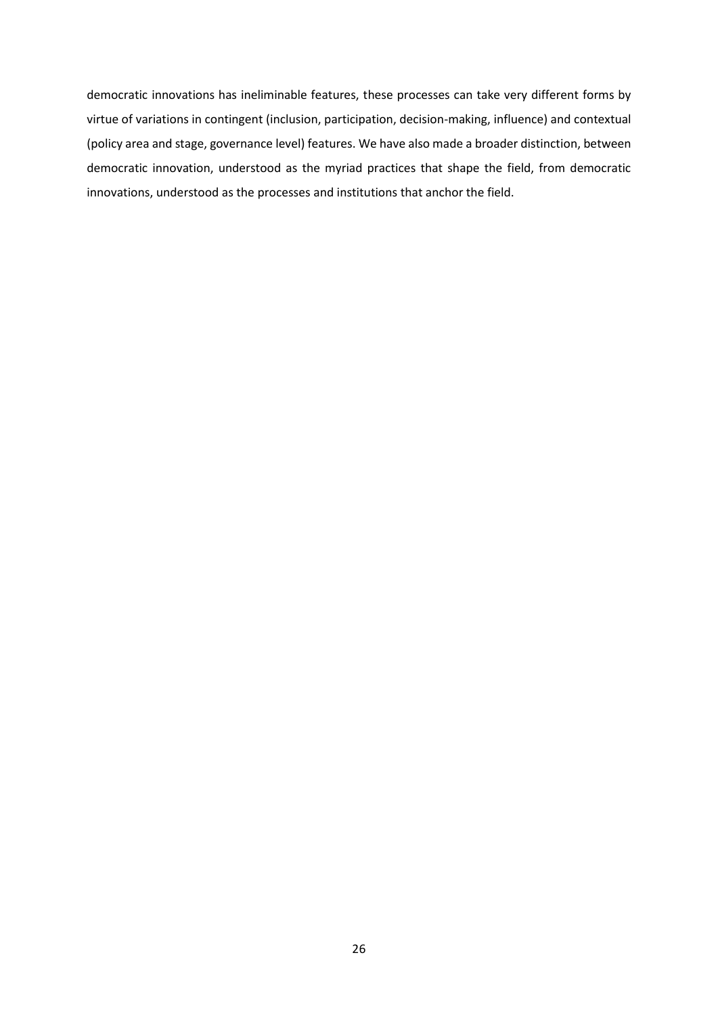democratic innovations has ineliminable features, these processes can take very different forms by virtue of variations in contingent (inclusion, participation, decision-making, influence) and contextual (policy area and stage, governance level) features. We have also made a broader distinction, between democratic innovation, understood as the myriad practices that shape the field, from democratic innovations, understood as the processes and institutions that anchor the field.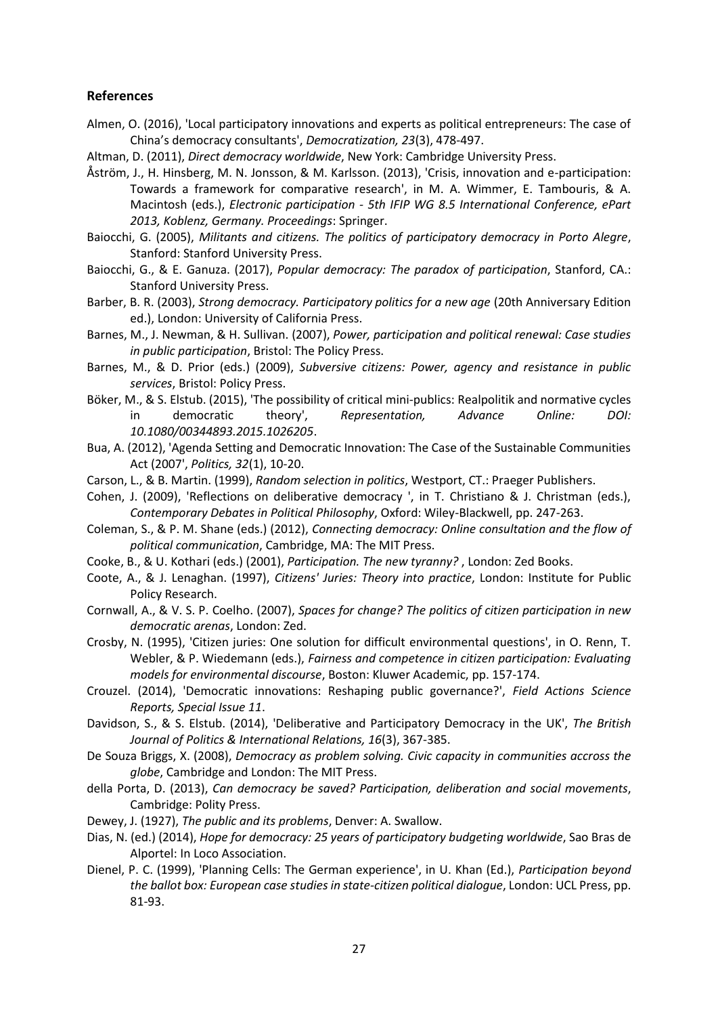## **References**

- Almen, O. (2016), 'Local participatory innovations and experts as political entrepreneurs: The case of China's democracy consultants', *Democratization, 23*(3), 478-497.
- Altman, D. (2011), *Direct democracy worldwide*, New York: Cambridge University Press.
- Åström, J., H. Hinsberg, M. N. Jonsson, & M. Karlsson. (2013), 'Crisis, innovation and e-participation: Towards a framework for comparative research', in M. A. Wimmer, E. Tambouris, & A. Macintosh (eds.), *Electronic participation - 5th IFIP WG 8.5 International Conference, ePart 2013, Koblenz, Germany. Proceedings*: Springer.
- Baiocchi, G. (2005), *Militants and citizens. The politics of participatory democracy in Porto Alegre*, Stanford: Stanford University Press.
- Baiocchi, G., & E. Ganuza. (2017), *Popular democracy: The paradox of participation*, Stanford, CA.: Stanford University Press.
- Barber, B. R. (2003), *Strong democracy. Participatory politics for a new age* (20th Anniversary Edition ed.), London: University of California Press.
- Barnes, M., J. Newman, & H. Sullivan. (2007), *Power, participation and political renewal: Case studies in public participation*, Bristol: The Policy Press.
- Barnes, M., & D. Prior (eds.) (2009), *Subversive citizens: Power, agency and resistance in public services*, Bristol: Policy Press.
- Böker, M., & S. Elstub. (2015), 'The possibility of critical mini-publics: Realpolitik and normative cycles in democratic theory', *Representation, Advance Online: DOI: 10.1080/00344893.2015.1026205*.
- Bua, A. (2012), 'Agenda Setting and Democratic Innovation: The Case of the Sustainable Communities Act (2007', *Politics, 32*(1), 10-20.
- Carson, L., & B. Martin. (1999), *Random selection in politics*, Westport, CT.: Praeger Publishers.
- Cohen, J. (2009), 'Reflections on deliberative democracy ', in T. Christiano & J. Christman (eds.), *Contemporary Debates in Political Philosophy*, Oxford: Wiley-Blackwell, pp. 247-263.
- Coleman, S., & P. M. Shane (eds.) (2012), *Connecting democracy: Online consultation and the flow of political communication*, Cambridge, MA: The MIT Press.
- Cooke, B., & U. Kothari (eds.) (2001), *Participation. The new tyranny?* , London: Zed Books.
- Coote, A., & J. Lenaghan. (1997), *Citizens' Juries: Theory into practice*, London: Institute for Public Policy Research.
- Cornwall, A., & V. S. P. Coelho. (2007), *Spaces for change? The politics of citizen participation in new democratic arenas*, London: Zed.
- Crosby, N. (1995), 'Citizen juries: One solution for difficult environmental questions', in O. Renn, T. Webler, & P. Wiedemann (eds.), *Fairness and competence in citizen participation: Evaluating models for environmental discourse*, Boston: Kluwer Academic, pp. 157-174.
- Crouzel. (2014), 'Democratic innovations: Reshaping public governance?', *Field Actions Science Reports, Special Issue 11*.
- Davidson, S., & S. Elstub. (2014), 'Deliberative and Participatory Democracy in the UK', *The British Journal of Politics & International Relations, 16*(3), 367-385.
- De Souza Briggs, X. (2008), *Democracy as problem solving. Civic capacity in communities accross the globe*, Cambridge and London: The MIT Press.
- della Porta, D. (2013), *Can democracy be saved? Participation, deliberation and social movements*, Cambridge: Polity Press.
- Dewey, J. (1927), *The public and its problems*, Denver: A. Swallow.
- Dias, N. (ed.) (2014), *Hope for democracy: 25 years of participatory budgeting worldwide*, Sao Bras de Alportel: In Loco Association.
- Dienel, P. C. (1999), 'Planning Cells: The German experience', in U. Khan (Ed.), *Participation beyond the ballot box: European case studies in state-citizen political dialogue*, London: UCL Press, pp. 81-93.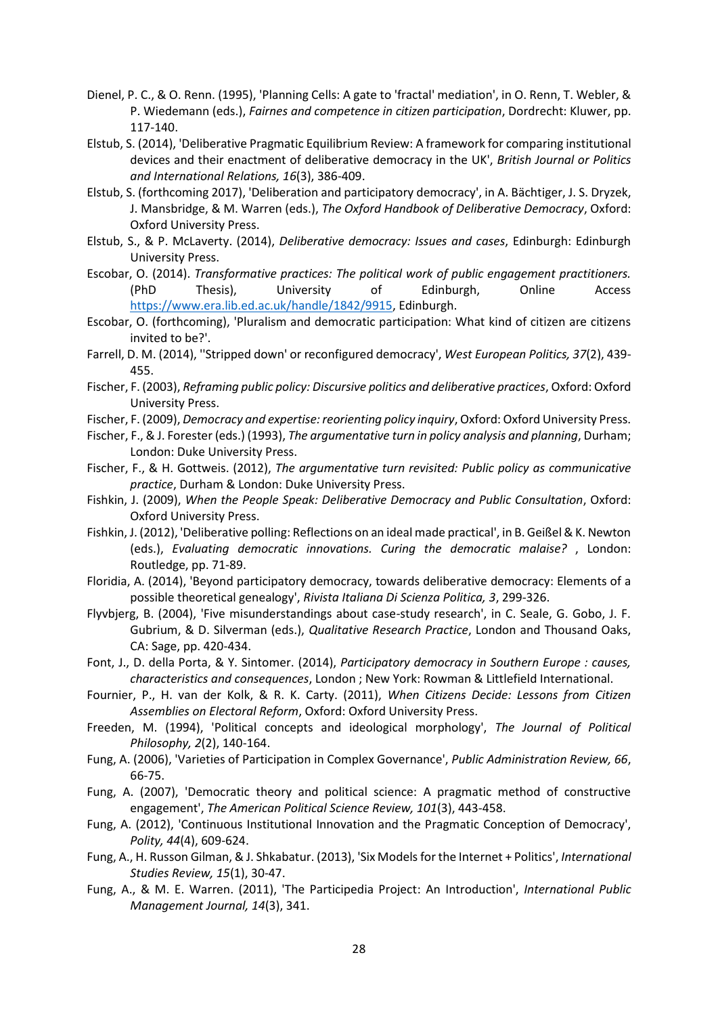- Dienel, P. C., & O. Renn. (1995), 'Planning Cells: A gate to 'fractal' mediation', in O. Renn, T. Webler, & P. Wiedemann (eds.), *Fairnes and competence in citizen participation*, Dordrecht: Kluwer, pp. 117-140.
- Elstub, S. (2014), 'Deliberative Pragmatic Equilibrium Review: A framework for comparing institutional devices and their enactment of deliberative democracy in the UK', *British Journal or Politics and International Relations, 16*(3), 386-409.
- Elstub, S. (forthcoming 2017), 'Deliberation and participatory democracy', in A. Bächtiger, J. S. Dryzek, J. Mansbridge, & M. Warren (eds.), *The Oxford Handbook of Deliberative Democracy*, Oxford: Oxford University Press.
- Elstub, S., & P. McLaverty. (2014), *Deliberative democracy: Issues and cases*, Edinburgh: Edinburgh University Press.
- Escobar, O. (2014). *Transformative practices: The political work of public engagement practitioners.* (PhD Thesis), University of Edinburgh, Online Access [https://www.era.lib.ed.ac.uk/handle/1842/9915,](https://www.era.lib.ed.ac.uk/handle/1842/9915) Edinburgh.
- Escobar, O. (forthcoming), 'Pluralism and democratic participation: What kind of citizen are citizens invited to be?'.
- Farrell, D. M. (2014), ''Stripped down' or reconfigured democracy', *West European Politics, 37*(2), 439- 455.
- Fischer, F. (2003), *Reframing public policy: Discursive politics and deliberative practices*, Oxford: Oxford University Press.
- Fischer, F. (2009), *Democracy and expertise: reorienting policy inquiry*, Oxford: Oxford University Press.
- Fischer, F., & J. Forester (eds.) (1993), *The argumentative turn in policy analysis and planning*, Durham; London: Duke University Press.
- Fischer, F., & H. Gottweis. (2012), *The argumentative turn revisited: Public policy as communicative practice*, Durham & London: Duke University Press.
- Fishkin, J. (2009), *When the People Speak: Deliberative Democracy and Public Consultation*, Oxford: Oxford University Press.
- Fishkin, J. (2012), 'Deliberative polling: Reflections on an ideal made practical', in B. Geißel & K. Newton (eds.), *Evaluating democratic innovations. Curing the democratic malaise?* , London: Routledge, pp. 71-89.
- Floridia, A. (2014), 'Beyond participatory democracy, towards deliberative democracy: Elements of a possible theoretical genealogy', *Rivista Italiana Di Scienza Politica, 3*, 299-326.
- Flyvbjerg, B. (2004), 'Five misunderstandings about case-study research', in C. Seale, G. Gobo, J. F. Gubrium, & D. Silverman (eds.), *Qualitative Research Practice*, London and Thousand Oaks, CA: Sage, pp. 420-434.
- Font, J., D. della Porta, & Y. Sintomer. (2014), *Participatory democracy in Southern Europe : causes, characteristics and consequences*, London ; New York: Rowman & Littlefield International.
- Fournier, P., H. van der Kolk, & R. K. Carty. (2011), *When Citizens Decide: Lessons from Citizen Assemblies on Electoral Reform*, Oxford: Oxford University Press.
- Freeden, M. (1994), 'Political concepts and ideological morphology', *The Journal of Political Philosophy, 2*(2), 140-164.
- Fung, A. (2006), 'Varieties of Participation in Complex Governance', *Public Administration Review, 66*, 66-75.
- Fung, A. (2007), 'Democratic theory and political science: A pragmatic method of constructive engagement', *The American Political Science Review, 101*(3), 443-458.
- Fung, A. (2012), 'Continuous Institutional Innovation and the Pragmatic Conception of Democracy', *Polity, 44*(4), 609-624.
- Fung, A., H. Russon Gilman, & J. Shkabatur. (2013), 'Six Models for the Internet + Politics', *International Studies Review, 15*(1), 30-47.
- Fung, A., & M. E. Warren. (2011), 'The Participedia Project: An Introduction', *International Public Management Journal, 14*(3), 341.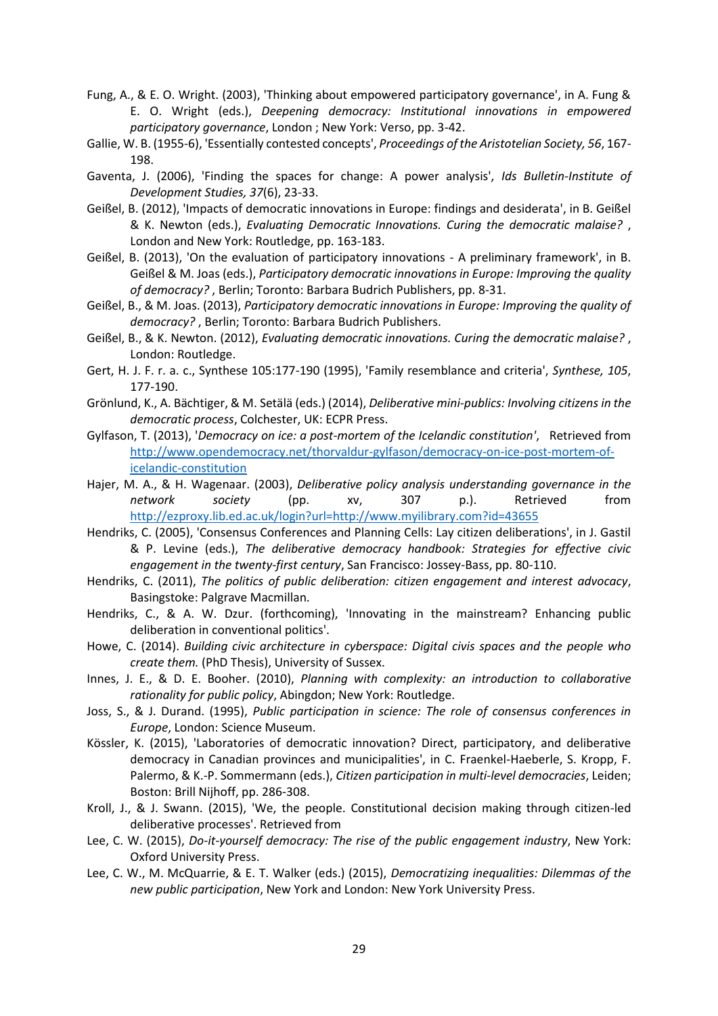- Fung, A., & E. O. Wright. (2003), 'Thinking about empowered participatory governance', in A. Fung & E. O. Wright (eds.), *Deepening democracy: Institutional innovations in empowered participatory governance*, London ; New York: Verso, pp. 3-42.
- Gallie, W. B. (1955-6), 'Essentially contested concepts', *Proceedings of the Aristotelian Society, 56*, 167- 198.
- Gaventa, J. (2006), 'Finding the spaces for change: A power analysis', *Ids Bulletin-Institute of Development Studies, 37*(6), 23-33.
- Geißel, B. (2012), 'Impacts of democratic innovations in Europe: findings and desiderata', in B. Geißel & K. Newton (eds.), *Evaluating Democratic Innovations. Curing the democratic malaise?* , London and New York: Routledge, pp. 163-183.
- Geißel, B. (2013), 'On the evaluation of participatory innovations A preliminary framework', in B. Geißel & M. Joas (eds.), *Participatory democratic innovations in Europe: Improving the quality of democracy?* , Berlin; Toronto: Barbara Budrich Publishers, pp. 8-31.
- Geißel, B., & M. Joas. (2013), *Participatory democratic innovations in Europe: Improving the quality of democracy?* , Berlin; Toronto: Barbara Budrich Publishers.
- Geißel, B., & K. Newton. (2012), *Evaluating democratic innovations. Curing the democratic malaise?* , London: Routledge.
- Gert, H. J. F. r. a. c., Synthese 105:177-190 (1995), 'Family resemblance and criteria', *Synthese, 105*, 177-190.
- Grönlund, K., A. Bächtiger, & M. Setälä (eds.) (2014), *Deliberative mini-publics: Involving citizens in the democratic process*, Colchester, UK: ECPR Press.
- Gylfason, T. (2013), '*Democracy on ice: a post-mortem of the Icelandic constitution'*, Retrieved from [http://www.opendemocracy.net/thorvaldur-gylfason/democracy-on-ice-post-mortem-of](http://www.opendemocracy.net/thorvaldur-gylfason/democracy-on-ice-post-mortem-of-icelandic-constitution)[icelandic-constitution](http://www.opendemocracy.net/thorvaldur-gylfason/democracy-on-ice-post-mortem-of-icelandic-constitution)
- Hajer, M. A., & H. Wagenaar. (2003), *Deliberative policy analysis understanding governance in the network society* (pp. xv, 307 p.). Retrieved from <http://ezproxy.lib.ed.ac.uk/login?url=http://www.myilibrary.com?id=43655>
- Hendriks, C. (2005), 'Consensus Conferences and Planning Cells: Lay citizen deliberations', in J. Gastil & P. Levine (eds.), *The deliberative democracy handbook: Strategies for effective civic engagement in the twenty-first century*, San Francisco: Jossey-Bass, pp. 80-110.
- Hendriks, C. (2011), *The politics of public deliberation: citizen engagement and interest advocacy*, Basingstoke: Palgrave Macmillan.
- Hendriks, C., & A. W. Dzur. (forthcoming), 'Innovating in the mainstream? Enhancing public deliberation in conventional politics'.
- Howe, C. (2014). *Building civic architecture in cyberspace: Digital civis spaces and the people who create them.* (PhD Thesis), University of Sussex.
- Innes, J. E., & D. E. Booher. (2010), *Planning with complexity: an introduction to collaborative rationality for public policy*, Abingdon; New York: Routledge.
- Joss, S., & J. Durand. (1995), *Public participation in science: The role of consensus conferences in Europe*, London: Science Museum.
- Kössler, K. (2015), 'Laboratories of democratic innovation? Direct, participatory, and deliberative democracy in Canadian provinces and municipalities', in C. Fraenkel-Haeberle, S. Kropp, F. Palermo, & K.-P. Sommermann (eds.), *Citizen participation in multi-level democracies*, Leiden; Boston: Brill Nijhoff, pp. 286-308.
- Kroll, J., & J. Swann. (2015), 'We, the people. Constitutional decision making through citizen-led deliberative processes'. Retrieved from
- Lee, C. W. (2015), *Do-it-yourself democracy: The rise of the public engagement industry*, New York: Oxford University Press.
- Lee, C. W., M. McQuarrie, & E. T. Walker (eds.) (2015), *Democratizing inequalities: Dilemmas of the new public participation*, New York and London: New York University Press.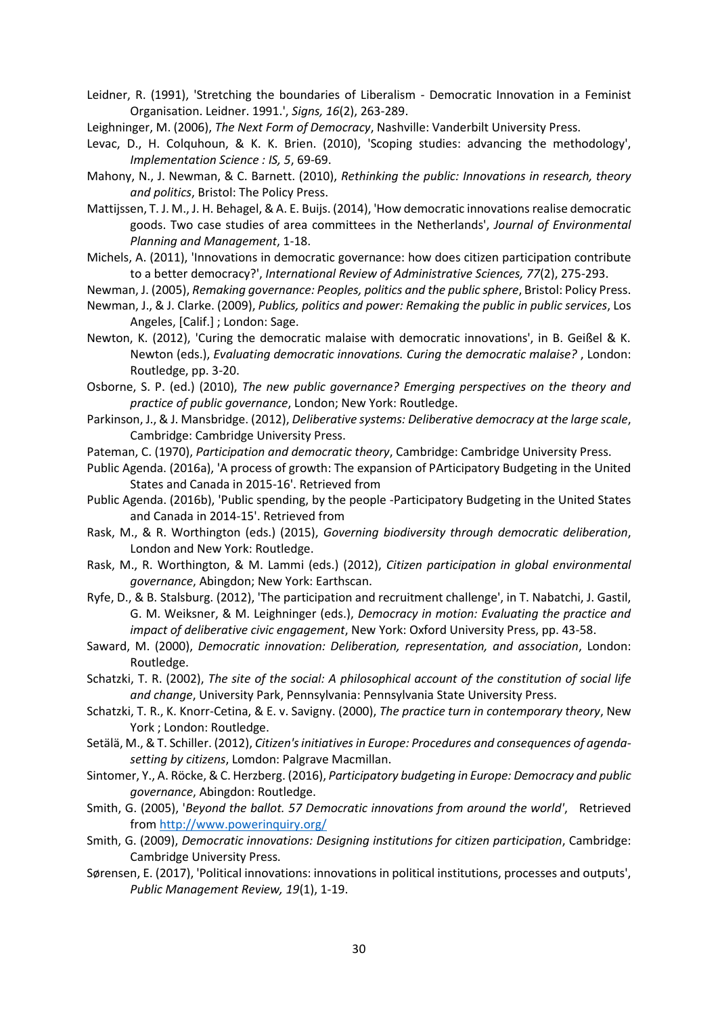- Leidner, R. (1991), 'Stretching the boundaries of Liberalism Democratic Innovation in a Feminist Organisation. Leidner. 1991.', *Signs, 16*(2), 263-289.
- Leighninger, M. (2006), *The Next Form of Democracy*, Nashville: Vanderbilt University Press.
- Levac, D., H. Colquhoun, & K. K. Brien. (2010), 'Scoping studies: advancing the methodology', *Implementation Science : IS, 5*, 69-69.
- Mahony, N., J. Newman, & C. Barnett. (2010), *Rethinking the public: Innovations in research, theory and politics*, Bristol: The Policy Press.
- Mattijssen, T. J. M., J. H. Behagel, & A. E. Buijs. (2014), 'How democratic innovations realise democratic goods. Two case studies of area committees in the Netherlands', *Journal of Environmental Planning and Management*, 1-18.
- Michels, A. (2011), 'Innovations in democratic governance: how does citizen participation contribute to a better democracy?', *International Review of Administrative Sciences, 77*(2), 275-293.
- Newman, J. (2005), *Remaking governance: Peoples, politics and the public sphere*, Bristol: Policy Press.
- Newman, J., & J. Clarke. (2009), *Publics, politics and power: Remaking the public in public services*, Los Angeles, [Calif.] ; London: Sage.
- Newton, K. (2012), 'Curing the democratic malaise with democratic innovations', in B. Geißel & K. Newton (eds.), *Evaluating democratic innovations. Curing the democratic malaise?* , London: Routledge, pp. 3-20.
- Osborne, S. P. (ed.) (2010), *The new public governance? Emerging perspectives on the theory and practice of public governance*, London; New York: Routledge.
- Parkinson, J., & J. Mansbridge. (2012), *Deliberative systems: Deliberative democracy at the large scale*, Cambridge: Cambridge University Press.
- Pateman, C. (1970), *Participation and democratic theory*, Cambridge: Cambridge University Press.
- Public Agenda. (2016a), 'A process of growth: The expansion of PArticipatory Budgeting in the United States and Canada in 2015-16'. Retrieved from
- Public Agenda. (2016b), 'Public spending, by the people -Participatory Budgeting in the United States and Canada in 2014-15'. Retrieved from
- Rask, M., & R. Worthington (eds.) (2015), *Governing biodiversity through democratic deliberation*, London and New York: Routledge.
- Rask, M., R. Worthington, & M. Lammi (eds.) (2012), *Citizen participation in global environmental governance*, Abingdon; New York: Earthscan.
- Ryfe, D., & B. Stalsburg. (2012), 'The participation and recruitment challenge', in T. Nabatchi, J. Gastil, G. M. Weiksner, & M. Leighninger (eds.), *Democracy in motion: Evaluating the practice and impact of deliberative civic engagement*, New York: Oxford University Press, pp. 43-58.
- Saward, M. (2000), *Democratic innovation: Deliberation, representation, and association*, London: Routledge.
- Schatzki, T. R. (2002), *The site of the social: A philosophical account of the constitution of social life and change*, University Park, Pennsylvania: Pennsylvania State University Press.
- Schatzki, T. R., K. Knorr-Cetina, & E. v. Savigny. (2000), *The practice turn in contemporary theory*, New York ; London: Routledge.
- Setälä, M., & T. Schiller. (2012), *Citizen's initiatives in Europe: Procedures and consequences of agendasetting by citizens*, Lomdon: Palgrave Macmillan.
- Sintomer, Y., A. Röcke, & C. Herzberg. (2016), *Participatory budgeting in Europe: Democracy and public governance*, Abingdon: Routledge.
- Smith, G. (2005), '*Beyond the ballot. 57 Democratic innovations from around the world'*, Retrieved from<http://www.powerinquiry.org/>
- Smith, G. (2009), *Democratic innovations: Designing institutions for citizen participation*, Cambridge: Cambridge University Press.
- Sørensen, E. (2017), 'Political innovations: innovations in political institutions, processes and outputs', *Public Management Review, 19*(1), 1-19.